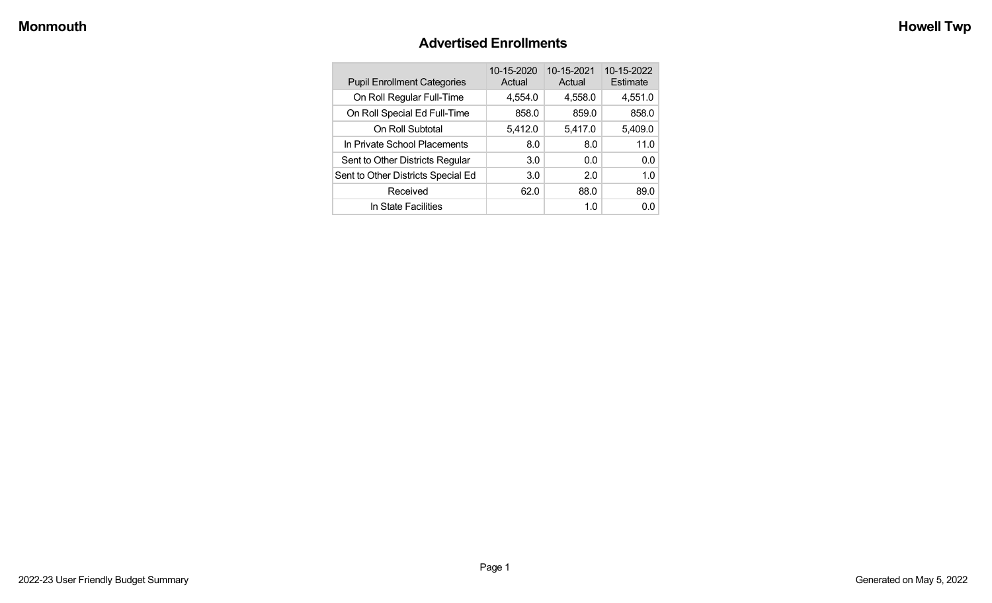## **Advertised Enrollments**

| <b>Pupil Enrollment Categories</b> | 10-15-2020<br>Actual | 10-15-2021<br>Actual | 10-15-2022<br>Estimate |
|------------------------------------|----------------------|----------------------|------------------------|
| On Roll Regular Full-Time          | 4,554.0              | 4,558.0              | 4,551.0                |
| On Roll Special Ed Full-Time       | 858.0                | 859.0                | 858.0                  |
| On Roll Subtotal                   | 5,412.0              | 5,417.0              | 5,409.0                |
| In Private School Placements       | 8.0                  | 8.0                  | 11.0                   |
| Sent to Other Districts Regular    | 3.0                  | 0.0                  | 0.0                    |
| Sent to Other Districts Special Ed | 3.0                  | 2.0                  | 1.0                    |
| Received                           | 62.0                 | 88.0                 | 89.0                   |
| In State Facilities                |                      | 1.0                  | 0.0                    |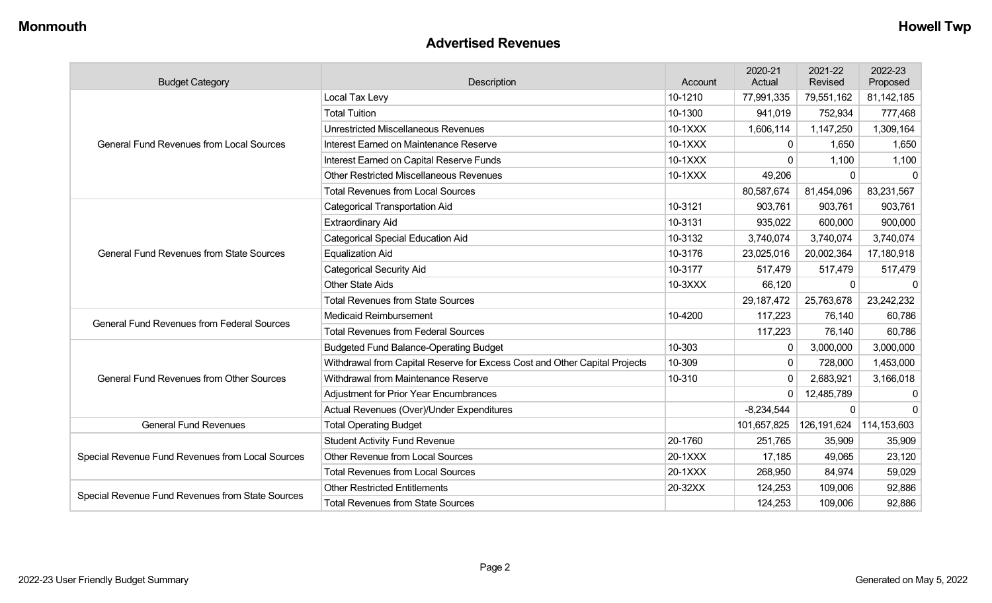#### **Advertised Revenues**

| <b>Budget Category</b>                            | Description                                                                | Account | 2020-21<br>Actual | 2021-22<br>Revised | 2022-23<br>Proposed |
|---------------------------------------------------|----------------------------------------------------------------------------|---------|-------------------|--------------------|---------------------|
|                                                   | Local Tax Levy                                                             | 10-1210 | 77,991,335        | 79,551,162         | 81,142,185          |
|                                                   | <b>Total Tuition</b>                                                       | 10-1300 | 941,019           | 752,934            | 777,468             |
|                                                   | <b>Unrestricted Miscellaneous Revenues</b>                                 | 10-1XXX | 1,606,114         | 1,147,250          | 1,309,164           |
| <b>General Fund Revenues from Local Sources</b>   | Interest Earned on Maintenance Reserve                                     | 10-1XXX | $\mathbf{0}$      | 1,650              | 1,650               |
|                                                   | Interest Earned on Capital Reserve Funds                                   | 10-1XXX | $\Omega$          | 1,100              | 1,100               |
|                                                   | <b>Other Restricted Miscellaneous Revenues</b>                             | 10-1XXX | 49,206            | $\Omega$           | $\Omega$            |
|                                                   | <b>Total Revenues from Local Sources</b>                                   |         | 80,587,674        | 81,454,096         | 83,231,567          |
|                                                   | <b>Categorical Transportation Aid</b>                                      | 10-3121 | 903,761           | 903,761            | 903,761             |
|                                                   | <b>Extraordinary Aid</b>                                                   | 10-3131 | 935,022           | 600,000            | 900,000             |
|                                                   | <b>Categorical Special Education Aid</b>                                   | 10-3132 | 3,740,074         | 3,740,074          | 3,740,074           |
| <b>General Fund Revenues from State Sources</b>   | <b>Equalization Aid</b>                                                    | 10-3176 | 23,025,016        | 20,002,364         | 17,180,918          |
|                                                   | <b>Categorical Security Aid</b>                                            | 10-3177 | 517,479           | 517,479            | 517,479             |
|                                                   | <b>Other State Aids</b>                                                    | 10-3XXX | 66,120            | $\Omega$           |                     |
|                                                   | <b>Total Revenues from State Sources</b>                                   |         | 29, 187, 472      | 25,763,678         | 23,242,232          |
| <b>General Fund Revenues from Federal Sources</b> | <b>Medicaid Reimbursement</b>                                              | 10-4200 | 117,223           | 76,140             | 60,786              |
|                                                   | <b>Total Revenues from Federal Sources</b>                                 |         | 117,223           | 76,140             | 60,786              |
|                                                   | <b>Budgeted Fund Balance-Operating Budget</b>                              | 10-303  | 0                 | 3,000,000          | 3,000,000           |
|                                                   | Withdrawal from Capital Reserve for Excess Cost and Other Capital Projects | 10-309  | 0                 | 728,000            | 1,453,000           |
| <b>General Fund Revenues from Other Sources</b>   | Withdrawal from Maintenance Reserve                                        | 10-310  | 0                 | 2,683,921          | 3,166,018           |
|                                                   | <b>Adjustment for Prior Year Encumbrances</b>                              |         | 0                 | 12,485,789         | 0                   |
|                                                   | Actual Revenues (Over)/Under Expenditures                                  |         | $-8,234,544$      | $\Omega$           | $\Omega$            |
| <b>General Fund Revenues</b>                      | <b>Total Operating Budget</b>                                              |         | 101,657,825       | 126, 191, 624      | 114,153,603         |
|                                                   | <b>Student Activity Fund Revenue</b>                                       | 20-1760 | 251,765           | 35,909             | 35,909              |
| Special Revenue Fund Revenues from Local Sources  | Other Revenue from Local Sources                                           | 20-1XXX | 17,185            | 49,065             | 23,120              |
|                                                   | <b>Total Revenues from Local Sources</b>                                   | 20-1XXX | 268,950           | 84,974             | 59,029              |
|                                                   | <b>Other Restricted Entitlements</b>                                       | 20-32XX | 124,253           | 109,006            | 92,886              |
| Special Revenue Fund Revenues from State Sources  | <b>Total Revenues from State Sources</b>                                   |         | 124,253           | 109,006            | 92,886              |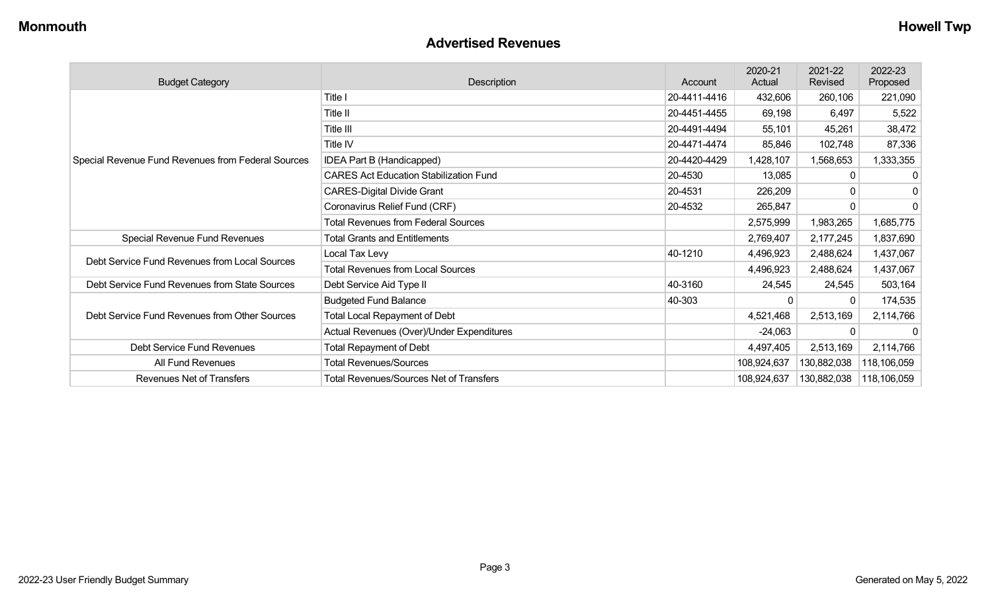#### **Advertised Revenues**

| <b>Budget Category</b>                             | Description                                    | Account      | 2020-21<br>Actual | 2021-22<br>Revised | 2022-23<br>Proposed |
|----------------------------------------------------|------------------------------------------------|--------------|-------------------|--------------------|---------------------|
|                                                    | Title I                                        | 20-4411-4416 | 432,606           | 260,106            | 221,090             |
|                                                    | Title II                                       | 20-4451-4455 | 69,198            | 6,497              | 5,522               |
|                                                    | Title III                                      | 20-4491-4494 | 55,101            | 45,261             | 38,472              |
|                                                    | Title IV                                       | 20-4471-4474 | 85,846            | 102,748            | 87,336              |
| Special Revenue Fund Revenues from Federal Sources | IDEA Part B (Handicapped)                      | 20-4420-4429 | 1,428,107         | 1,568,653          | 1,333,355           |
|                                                    | <b>CARES Act Education Stabilization Fund</b>  | 20-4530      | 13,085            |                    | 0                   |
|                                                    | <b>CARES-Digital Divide Grant</b>              | 20-4531      | 226,209           | 0                  | $\mathbf{0}$        |
|                                                    | Coronavirus Relief Fund (CRF)                  | 20-4532      | 265,847           |                    | $\mathbf 0$         |
|                                                    | <b>Total Revenues from Federal Sources</b>     |              | 2,575,999         | 1,983,265          | 1,685,775           |
| Special Revenue Fund Revenues                      | <b>Total Grants and Entitlements</b>           |              | 2,769,407         | 2,177,245          | 1,837,690           |
|                                                    | Local Tax Levy                                 | 40-1210      | 4,496,923         | 2,488,624          | 1,437,067           |
| Debt Service Fund Revenues from Local Sources      | <b>Total Revenues from Local Sources</b>       |              | 4,496,923         | 2,488,624          | 1,437,067           |
| Debt Service Fund Revenues from State Sources      | Debt Service Aid Type II                       | 40-3160      | 24,545            | 24,545             | 503,164             |
|                                                    | <b>Budgeted Fund Balance</b>                   | 40-303       |                   |                    | 174,535             |
| Debt Service Fund Revenues from Other Sources      | <b>Total Local Repayment of Debt</b>           |              | 4,521,468         | 2,513,169          | 2,114,766           |
|                                                    | Actual Revenues (Over)/Under Expenditures      |              | $-24,063$         |                    | $\Omega$            |
| Debt Service Fund Revenues                         | <b>Total Repayment of Debt</b>                 |              | 4,497,405         | 2,513,169          | 2,114,766           |
| All Fund Revenues                                  | <b>Total Revenues/Sources</b>                  |              | 108,924,637       | 130,882,038        | 118,106,059         |
| <b>Revenues Net of Transfers</b>                   | <b>Total Revenues/Sources Net of Transfers</b> |              | 108,924,637       | 130,882,038        | 118,106,059         |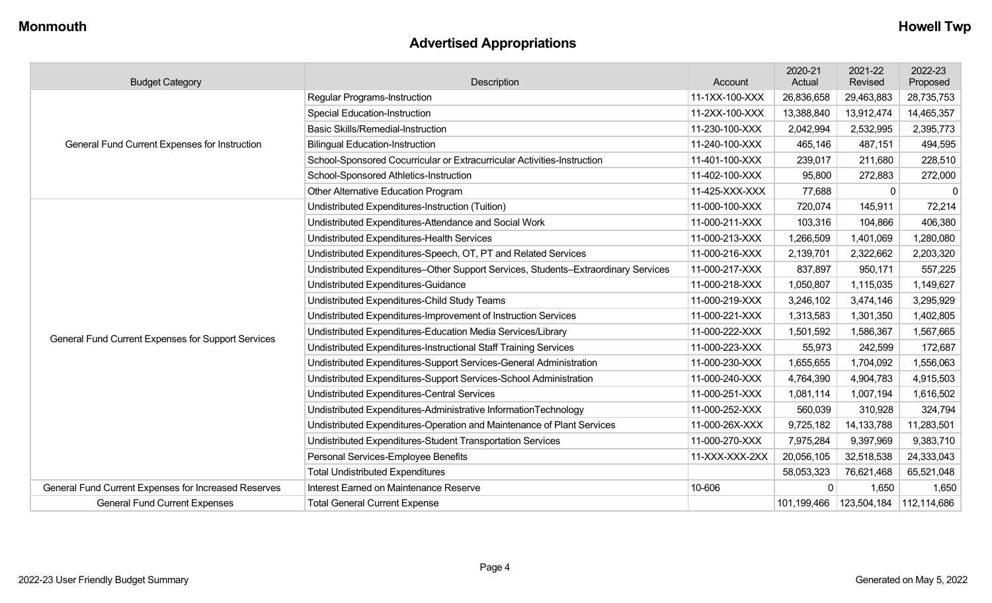## **Advertised Appropriations**

| <b>Budget Category</b><br>Description                |                                                                                    | Account        | 2020-21<br>Actual | 2021-22<br>Revised      | 2022-23<br>Proposed |
|------------------------------------------------------|------------------------------------------------------------------------------------|----------------|-------------------|-------------------------|---------------------|
|                                                      | <b>Regular Programs-Instruction</b>                                                | 11-1XX-100-XXX | 26,836,658        | 29,463,883              | 28,735,753          |
|                                                      | <b>Special Education-Instruction</b>                                               | 11-2XX-100-XXX | 13,388,840        | 13,912,474              | 14,465,357          |
|                                                      | <b>Basic Skills/Remedial-Instruction</b>                                           | 11-230-100-XXX | 2,042,994         | 2,532,995               | 2,395,773           |
| General Fund Current Expenses for Instruction        | <b>Bilingual Education-Instruction</b>                                             | 11-240-100-XXX | 465,146           | 487,151                 | 494,595             |
|                                                      | School-Sponsored Cocurricular or Extracurricular Activities-Instruction            | 11-401-100-XXX | 239,017           | 211,680                 | 228,510             |
|                                                      | School-Sponsored Athletics-Instruction                                             | 11-402-100-XXX | 95,800            | 272,883                 | 272,000             |
|                                                      | Other Alternative Education Program                                                | 11-425-XXX-XXX | 77,688            | $\mathbf{0}$            | $\mathbf 0$         |
|                                                      | Undistributed Expenditures-Instruction (Tuition)                                   | 11-000-100-XXX | 720,074           | 145,911                 | 72,214              |
|                                                      | Undistributed Expenditures-Attendance and Social Work                              | 11-000-211-XXX | 103,316           | 104,866                 | 406,380             |
|                                                      | Undistributed Expenditures-Health Services                                         | 11-000-213-XXX | 1,266,509         | 1,401,069               | 1,280,080           |
|                                                      | Undistributed Expenditures-Speech, OT, PT and Related Services                     | 11-000-216-XXX | 2,139,701         | 2,322,662               | 2,203,320           |
|                                                      | Undistributed Expenditures-Other Support Services, Students-Extraordinary Services | 11-000-217-XXX | 837,897           | 950,171                 | 557,225             |
|                                                      | Undistributed Expenditures-Guidance                                                | 11-000-218-XXX | 1,050,807         | 1,115,035               | 1,149,627           |
|                                                      | Undistributed Expenditures-Child Study Teams                                       | 11-000-219-XXX | 3,246,102         | 3,474,146               | 3,295,929           |
|                                                      | Undistributed Expenditures-Improvement of Instruction Services                     | 11-000-221-XXX | 1,313,583         | 1,301,350               | 1,402,805           |
| General Fund Current Expenses for Support Services   | Undistributed Expenditures-Education Media Services/Library                        | 11-000-222-XXX | 1,501,592         | 1,586,367               | 1,567,665           |
|                                                      | Undistributed Expenditures-Instructional Staff Training Services                   | 11-000-223-XXX | 55,973            | 242,599                 | 172,687             |
|                                                      | Undistributed Expenditures-Support Services-General Administration                 | 11-000-230-XXX | 1,655,655         | 1,704,092               | 1,556,063           |
|                                                      | Undistributed Expenditures-Support Services-School Administration                  | 11-000-240-XXX | 4,764,390         | 4,904,783               | 4,915,503           |
|                                                      | <b>Undistributed Expenditures-Central Services</b>                                 | 11-000-251-XXX | 1,081,114         | 1,007,194               | 1,616,502           |
|                                                      | Undistributed Expenditures-Administrative InformationTechnology                    | 11-000-252-XXX | 560,039           | 310,928                 | 324,794             |
|                                                      | Undistributed Expenditures-Operation and Maintenance of Plant Services             | 11-000-26X-XXX | 9,725,182         | 14, 133, 788            | 11,283,501          |
|                                                      | Undistributed Expenditures-Student Transportation Services                         | 11-000-270-XXX | 7,975,284         | 9,397,969               | 9,383,710           |
|                                                      | Personal Services-Employee Benefits                                                | 11-XXX-XXX-2XX | 20,056,105        | 32,518,538              | 24,333,043          |
|                                                      | <b>Total Undistributed Expenditures</b>                                            |                | 58,053,323        | 76,621,468              | 65,521,048          |
| General Fund Current Expenses for Increased Reserves | Interest Earned on Maintenance Reserve                                             | 10-606         | $\Omega$          | 1,650                   | 1,650               |
| <b>General Fund Current Expenses</b>                 | <b>Total General Current Expense</b>                                               |                | 101,199,466       | 123,504,184 112,114,686 |                     |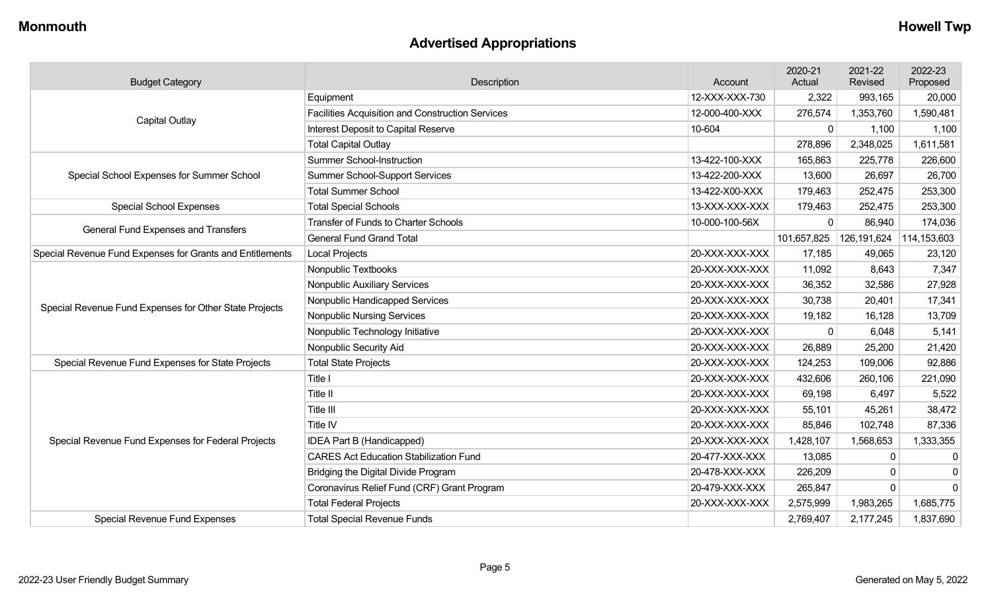## **Advertised Appropriations**

| <b>Budget Category</b>                                    | Description                                             | Account        | 2020-21<br>Actual | 2021-22<br>Revised | 2022-23<br>Proposed |
|-----------------------------------------------------------|---------------------------------------------------------|----------------|-------------------|--------------------|---------------------|
|                                                           | Equipment                                               | 12-XXX-XXX-730 | 2,322             | 993,165            | 20,000              |
|                                                           | <b>Facilities Acquisition and Construction Services</b> | 12-000-400-XXX | 276,574           | 1,353,760          | 1,590,481           |
| Capital Outlay                                            | Interest Deposit to Capital Reserve                     | 10-604         | 0                 | 1,100              | 1,100               |
|                                                           | <b>Total Capital Outlay</b>                             |                | 278,896           | 2,348,025          | 1,611,581           |
|                                                           | <b>Summer School-Instruction</b>                        | 13-422-100-XXX | 165,863           | 225,778            | 226,600             |
| Special School Expenses for Summer School                 | Summer School-Support Services                          | 13-422-200-XXX | 13,600            | 26,697             | 26,700              |
|                                                           | <b>Total Summer School</b>                              | 13-422-X00-XXX | 179,463           | 252,475            | 253,300             |
| <b>Special School Expenses</b>                            | <b>Total Special Schools</b>                            | 13-XXX-XXX-XXX | 179,463           | 252,475            | 253,300             |
| General Fund Expenses and Transfers                       | <b>Transfer of Funds to Charter Schools</b>             | 10-000-100-56X | $\overline{0}$    | 86,940             | 174,036             |
|                                                           | <b>General Fund Grand Total</b>                         |                | 101,657,825       | 126,191,624        | 114, 153, 603       |
| Special Revenue Fund Expenses for Grants and Entitlements | <b>Local Projects</b>                                   | 20-XXX-XXX-XXX | 17,185            | 49,065             | 23,120              |
|                                                           | Nonpublic Textbooks                                     | 20-XXX-XXX-XXX | 11,092            | 8,643              | 7,347               |
|                                                           | Nonpublic Auxiliary Services                            | 20-XXX-XXX-XXX | 36,352            | 32,586             | 27,928              |
| Special Revenue Fund Expenses for Other State Projects    | Nonpublic Handicapped Services                          | 20-XXX-XXX-XXX | 30,738            | 20,401             | 17,341              |
|                                                           | <b>Nonpublic Nursing Services</b>                       | 20-XXX-XXX-XXX | 19,182            | 16,128             | 13,709              |
|                                                           | Nonpublic Technology Initiative                         | 20-XXX-XXX-XXX | 0                 | 6,048              | 5,141               |
|                                                           | Nonpublic Security Aid                                  | 20-XXX-XXX-XXX | 26,889            | 25,200             | 21,420              |
| Special Revenue Fund Expenses for State Projects          | <b>Total State Projects</b>                             | 20-XXX-XXX-XXX | 124,253           | 109,006            | 92,886              |
|                                                           | Title I                                                 | 20-XXX-XXX-XXX | 432,606           | 260,106            | 221,090             |
|                                                           | Title II                                                | 20-XXX-XXX-XXX | 69,198            | 6,497              | 5,522               |
|                                                           | Title III                                               | 20-XXX-XXX-XXX | 55,101            | 45,261             | 38,472              |
|                                                           | Title IV                                                | 20-XXX-XXX-XXX | 85,846            | 102,748            | 87,336              |
| Special Revenue Fund Expenses for Federal Projects        | IDEA Part B (Handicapped)                               | 20-XXX-XXX-XXX | 1,428,107         | 1,568,653          | 1,333,355           |
|                                                           | <b>CARES Act Education Stabilization Fund</b>           | 20-477-XXX-XXX | 13,085            | $\mathbf{0}$       | 0                   |
|                                                           | Bridging the Digital Divide Program                     | 20-478-XXX-XXX | 226,209           | $\Omega$           | 0                   |
|                                                           | Coronavirus Relief Fund (CRF) Grant Program             | 20-479-XXX-XXX | 265,847           | $\Omega$           | $\mathbf 0$         |
|                                                           | <b>Total Federal Projects</b>                           | 20-XXX-XXX-XXX | 2,575,999         | 1,983,265          | 1,685,775           |
| <b>Special Revenue Fund Expenses</b>                      | <b>Total Special Revenue Funds</b>                      |                | 2,769,407         | 2,177,245          | 1,837,690           |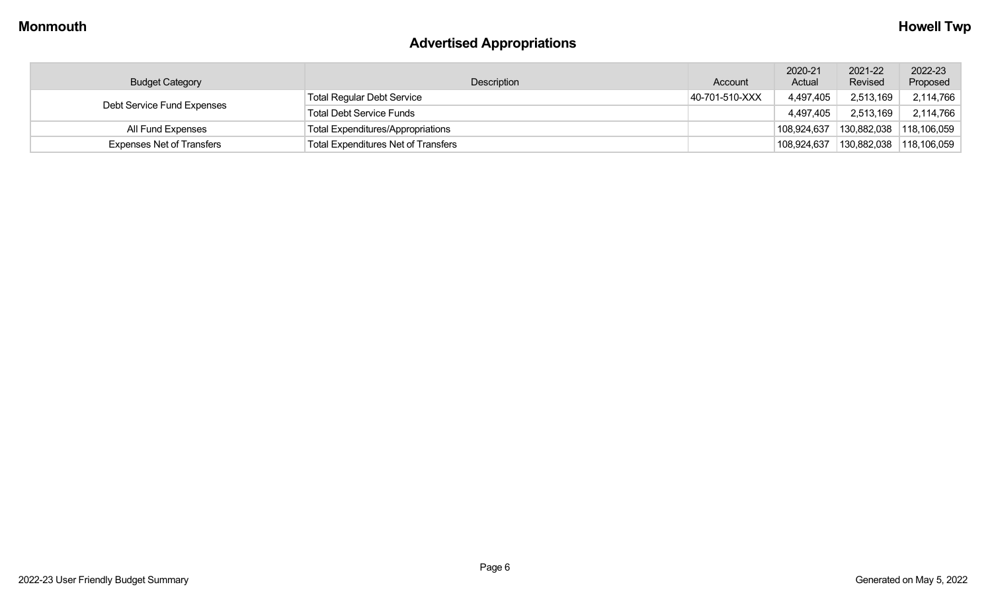# **Advertised Appropriations**

| <b>Budget Category</b>           | Description                                | Account        | 2020-21<br>Actual | 2021-22<br>Revised | 2022-23<br>Proposed |
|----------------------------------|--------------------------------------------|----------------|-------------------|--------------------|---------------------|
| Debt Service Fund Expenses       | <b>Total Regular Debt Service</b>          | 40-701-510-XXX | 4,497,405         | 2,513,169          | 2,114,766           |
|                                  | <b>Total Debt Service Funds</b>            |                | 4,497,405         | 2,513,169          | 2,114,766           |
| All Fund Expenses                | <b>Total Expenditures/Appropriations</b>   |                | 108,924,637       | 130,882,038        | 118,106,059         |
| <b>Expenses Net of Transfers</b> | <b>Total Expenditures Net of Transfers</b> |                | 108,924,637       | 130,882,038        | 118,106,059         |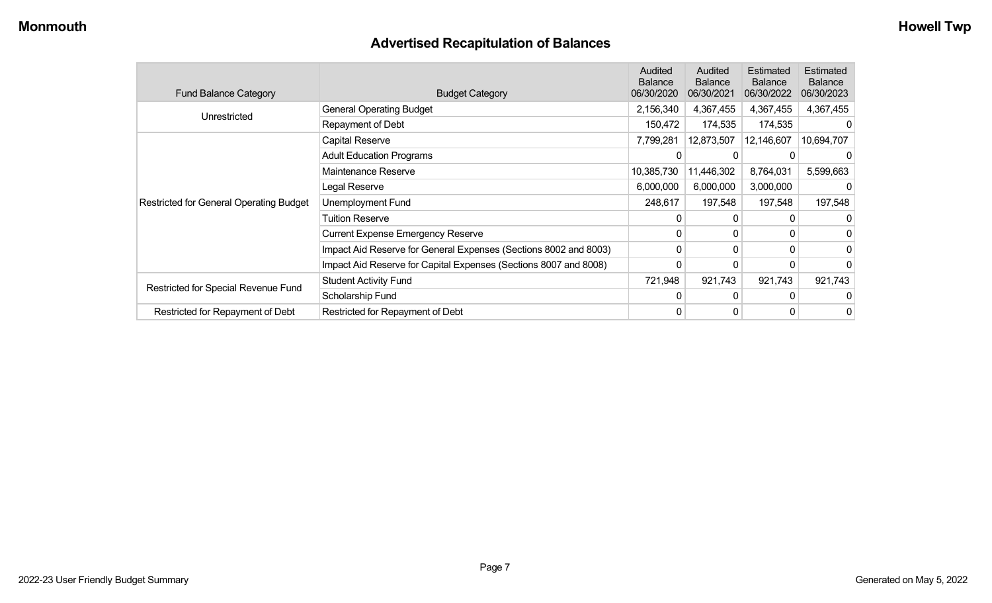## **Advertised Recapitulation of Balances**

| <b>Fund Balance Category</b>                   | <b>Budget Category</b>                                           | Audited<br><b>Balance</b><br>06/30/2020 | Audited<br><b>Balance</b><br>06/30/2021 | Estimated<br><b>Balance</b><br>06/30/2022 | Estimated<br><b>Balance</b><br>06/30/2023 |
|------------------------------------------------|------------------------------------------------------------------|-----------------------------------------|-----------------------------------------|-------------------------------------------|-------------------------------------------|
| Unrestricted                                   | <b>General Operating Budget</b>                                  | 2,156,340                               | 4,367,455                               | 4,367,455                                 | 4,367,455                                 |
|                                                | Repayment of Debt                                                | 150,472                                 | 174,535                                 | 174,535                                   | $\Omega$                                  |
|                                                | <b>Capital Reserve</b>                                           | 7,799,281                               | 12,873,507                              | 12,146,607                                | 10,694,707                                |
|                                                | <b>Adult Education Programs</b>                                  |                                         |                                         |                                           |                                           |
|                                                | Maintenance Reserve                                              | 10,385,730                              | 11,446,302                              | 8,764,031                                 | 5,599,663                                 |
|                                                | Legal Reserve                                                    | 6,000,000                               | 6,000,000                               | 3,000,000                                 | $\Omega$                                  |
| <b>Restricted for General Operating Budget</b> | Unemployment Fund                                                | 248,617                                 | 197,548                                 | 197,548                                   | 197,548                                   |
|                                                | <b>Tuition Reserve</b>                                           | 0                                       | 0                                       |                                           | $\overline{0}$                            |
|                                                | <b>Current Expense Emergency Reserve</b>                         | $\Omega$                                | 0                                       | $\Omega$                                  | $\overline{0}$                            |
|                                                | Impact Aid Reserve for General Expenses (Sections 8002 and 8003) | 0                                       | 0                                       | 0                                         | $\overline{0}$                            |
|                                                | Impact Aid Reserve for Capital Expenses (Sections 8007 and 8008) | $\Omega$                                | 0                                       |                                           | $\Omega$                                  |
|                                                | <b>Student Activity Fund</b>                                     | 721,948                                 | 921,743                                 | 921,743                                   | 921,743                                   |
| Restricted for Special Revenue Fund            | Scholarship Fund                                                 | 0                                       | 0                                       |                                           | $\overline{0}$                            |
| Restricted for Repayment of Debt               | Restricted for Repayment of Debt                                 | 0                                       | 0                                       |                                           | $\overline{0}$                            |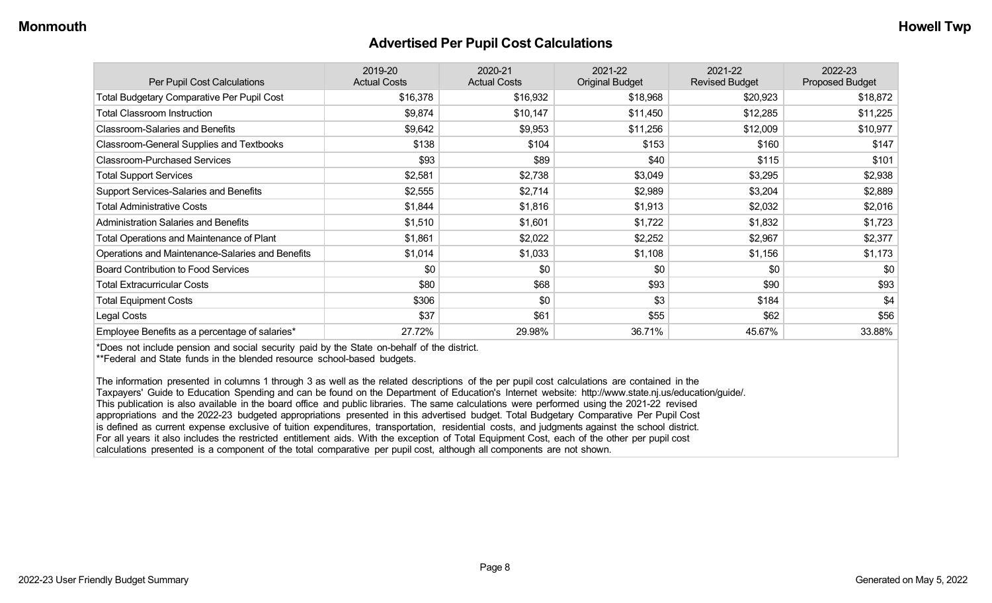#### **Advertised Per Pupil Cost Calculations**

| Per Pupil Cost Calculations                       | 2019-20<br><b>Actual Costs</b> | 2020-21<br><b>Actual Costs</b> | 2021-22<br><b>Original Budget</b> | 2021-22<br><b>Revised Budget</b> | 2022-23<br><b>Proposed Budget</b> |
|---------------------------------------------------|--------------------------------|--------------------------------|-----------------------------------|----------------------------------|-----------------------------------|
| <b>Total Budgetary Comparative Per Pupil Cost</b> | \$16,378                       | \$16,932                       | \$18,968                          | \$20,923                         | \$18,872                          |
| <b>Total Classroom Instruction</b>                | \$9,874                        | \$10,147                       | \$11,450                          | \$12,285                         | \$11,225                          |
| <b>Classroom-Salaries and Benefits</b>            | \$9,642                        | \$9,953                        | \$11,256                          | \$12,009                         | \$10,977                          |
| Classroom-General Supplies and Textbooks          | \$138                          | \$104                          | \$153                             | \$160                            | \$147                             |
| <b>Classroom-Purchased Services</b>               | \$93                           | \$89                           | \$40                              | \$115                            | \$101                             |
| <b>Total Support Services</b>                     | \$2,581                        | \$2,738                        | \$3,049                           | \$3,295                          | \$2,938                           |
| Support Services-Salaries and Benefits            | \$2,555                        | \$2,714                        | \$2,989                           | \$3,204                          | \$2,889                           |
| <b>Total Administrative Costs</b>                 | \$1,844                        | \$1,816                        | \$1,913                           | \$2,032                          | \$2,016                           |
| <b>Administration Salaries and Benefits</b>       | \$1,510                        | \$1,601                        | \$1,722                           | \$1,832                          | \$1,723                           |
| Total Operations and Maintenance of Plant         | \$1,861                        | \$2,022                        | \$2,252                           | \$2,967                          | \$2,377                           |
| Operations and Maintenance-Salaries and Benefits  | \$1,014                        | \$1,033                        | \$1,108                           | \$1,156                          | \$1,173                           |
| <b>Board Contribution to Food Services</b>        | \$0                            | \$0                            | \$0                               | \$0                              | \$0                               |
| <b>Total Extracurricular Costs</b>                | \$80                           | \$68                           | \$93                              | \$90                             | \$93                              |
| <b>Total Equipment Costs</b>                      | \$306                          | \$0                            | \$3                               | \$184                            | \$4                               |
| Legal Costs                                       | \$37                           | \$61                           | \$55                              | \$62                             | \$56                              |
| Employee Benefits as a percentage of salaries*    | 27.72%                         | 29.98%                         | 36.71%                            | 45.67%                           | 33.88%                            |

\*Does not include pension and social security paid by the State on-behalf of the district.

\*\*Federal and State funds in the blended resource school-based budgets.

The information presented in columns 1 through 3 as well as the related descriptions of the per pupil cost calculations are contained in the Taxpayers' Guide to Education Spending and can be found on the Department of Education's Internet website: http://www.state.nj.us/education/guide/. This publication is also available in the board office and public libraries. The same calculations were performed using the 2021-22 revised appropriations and the 2022-23 budgeted appropriations presented in this advertised budget. Total Budgetary Comparative Per Pupil Cost is defined as current expense exclusive of tuition expenditures, transportation, residential costs, and judgments against the school district. For all years it also includes the restricted entitlement aids. With the exception of Total Equipment Cost, each of the other per pupil cost calculations presented is a component of the total comparative per pupil cost, although all components are not shown.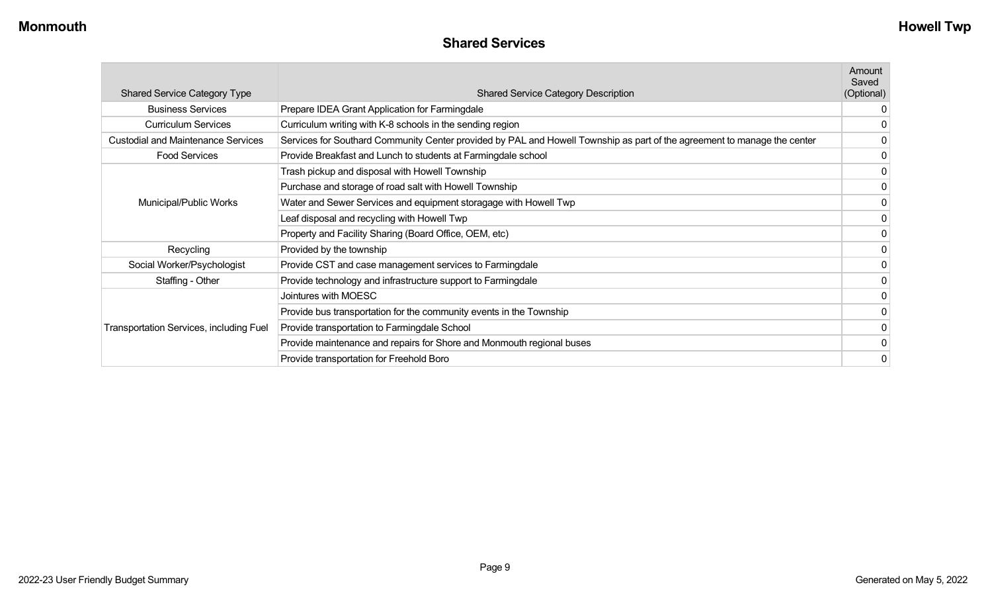#### **Shared Services**

|                                                |                                                                                                                          | Amount<br>Saved |
|------------------------------------------------|--------------------------------------------------------------------------------------------------------------------------|-----------------|
| <b>Shared Service Category Type</b>            | <b>Shared Service Category Description</b>                                                                               | (Optional)      |
| <b>Business Services</b>                       | Prepare IDEA Grant Application for Farmingdale                                                                           | $\mathbf{0}$    |
| <b>Curriculum Services</b>                     | Curriculum writing with K-8 schools in the sending region                                                                |                 |
| <b>Custodial and Maintenance Services</b>      | Services for Southard Community Center provided by PAL and Howell Township as part of the agreement to manage the center | 0               |
| <b>Food Services</b>                           | Provide Breakfast and Lunch to students at Farmingdale school                                                            | 0               |
|                                                | Trash pickup and disposal with Howell Township                                                                           | 0               |
|                                                | Purchase and storage of road salt with Howell Township                                                                   | 0               |
| Municipal/Public Works                         | Water and Sewer Services and equipment storagage with Howell Twp                                                         |                 |
|                                                | Leaf disposal and recycling with Howell Twp                                                                              | 0               |
|                                                | Property and Facility Sharing (Board Office, OEM, etc)                                                                   | 0               |
| Recycling                                      | Provided by the township                                                                                                 | 0               |
| Social Worker/Psychologist                     | Provide CST and case management services to Farmingdale                                                                  | 0               |
| Staffing - Other                               | Provide technology and infrastructure support to Farmingdale                                                             | 0               |
|                                                | Jointures with MOESC                                                                                                     | 0               |
|                                                | Provide bus transportation for the community events in the Township                                                      |                 |
| <b>Transportation Services, including Fuel</b> | Provide transportation to Farmingdale School                                                                             | 0               |
|                                                | Provide maintenance and repairs for Shore and Monmouth regional buses                                                    | 0               |
|                                                | Provide transportation for Freehold Boro                                                                                 | 0               |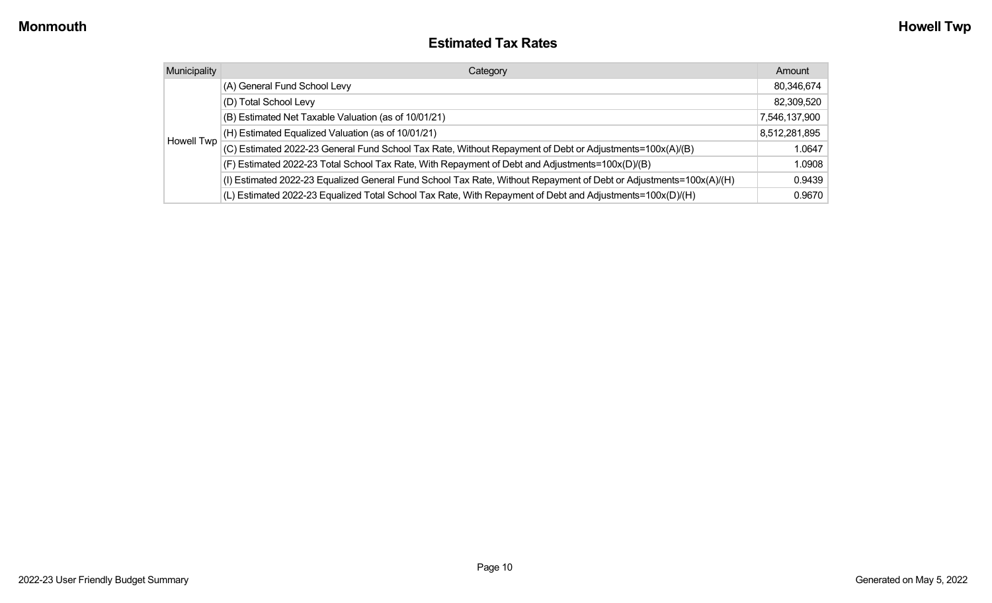#### **Estimated Tax Rates**

| Municipality | Category                                                                                                           | Amount        |
|--------------|--------------------------------------------------------------------------------------------------------------------|---------------|
|              | (A) General Fund School Levy                                                                                       | 80,346,674    |
|              | (D) Total School Levy                                                                                              | 82,309,520    |
|              | (B) Estimated Net Taxable Valuation (as of 10/01/21)                                                               | 7,546,137,900 |
|              | (H) Estimated Equalized Valuation (as of 10/01/21)                                                                 | 8,512,281,895 |
| Howell Twp   | (C) Estimated 2022-23 General Fund School Tax Rate, Without Repayment of Debt or Adjustments=100x(A)/(B)           | 1.0647        |
|              | (F) Estimated 2022-23 Total School Tax Rate, With Repayment of Debt and Adjustments=100x(D)/(B)                    | 1.0908        |
|              | (I) Estimated 2022-23 Equalized General Fund School Tax Rate, Without Repayment of Debt or Adjustments=100x(A)/(H) | 0.9439        |
|              | (L) Estimated 2022-23 Equalized Total School Tax Rate, With Repayment of Debt and Adjustments=100x(D)/(H)          | 0.9670        |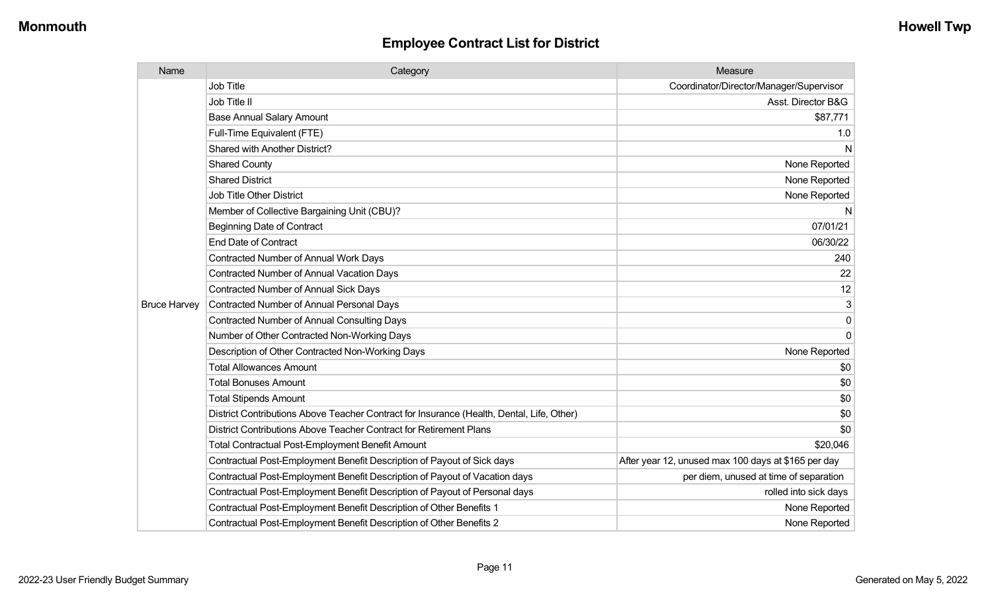| Name                | Category                                                                                  | Measure                                             |
|---------------------|-------------------------------------------------------------------------------------------|-----------------------------------------------------|
|                     | Job Title                                                                                 | Coordinator/Director/Manager/Supervisor             |
|                     | Job Title II                                                                              | Asst. Director B&G                                  |
|                     | <b>Base Annual Salary Amount</b>                                                          | \$87,771                                            |
|                     | Full-Time Equivalent (FTE)                                                                | 1.0                                                 |
|                     | Shared with Another District?                                                             | N                                                   |
|                     | <b>Shared County</b>                                                                      | None Reported                                       |
|                     | <b>Shared District</b>                                                                    | None Reported                                       |
|                     | Job Title Other District                                                                  | None Reported                                       |
|                     | Member of Collective Bargaining Unit (CBU)?                                               | N                                                   |
|                     | <b>Beginning Date of Contract</b>                                                         | 07/01/21                                            |
|                     | <b>End Date of Contract</b>                                                               | 06/30/22                                            |
|                     | Contracted Number of Annual Work Days                                                     | 240                                                 |
|                     | <b>Contracted Number of Annual Vacation Days</b>                                          | 22                                                  |
|                     | Contracted Number of Annual Sick Days                                                     | 12                                                  |
| <b>Bruce Harvey</b> | Contracted Number of Annual Personal Days                                                 | 3                                                   |
|                     | <b>Contracted Number of Annual Consulting Days</b>                                        | $\mathbf 0$                                         |
|                     | Number of Other Contracted Non-Working Days                                               | $\mathbf 0$                                         |
|                     | Description of Other Contracted Non-Working Days                                          | None Reported                                       |
|                     | <b>Total Allowances Amount</b>                                                            | \$0                                                 |
|                     | <b>Total Bonuses Amount</b>                                                               | \$0                                                 |
|                     | <b>Total Stipends Amount</b>                                                              | \$0                                                 |
|                     | District Contributions Above Teacher Contract for Insurance (Health, Dental, Life, Other) | \$0                                                 |
|                     | District Contributions Above Teacher Contract for Retirement Plans                        | \$0                                                 |
|                     | Total Contractual Post-Employment Benefit Amount                                          | \$20,046                                            |
|                     | Contractual Post-Employment Benefit Description of Payout of Sick days                    | After year 12, unused max 100 days at \$165 per day |
|                     | Contractual Post-Employment Benefit Description of Payout of Vacation days                | per diem, unused at time of separation              |
|                     | Contractual Post-Employment Benefit Description of Payout of Personal days                | rolled into sick days                               |
|                     | Contractual Post-Employment Benefit Description of Other Benefits 1                       | None Reported                                       |
|                     | Contractual Post-Employment Benefit Description of Other Benefits 2                       | None Reported                                       |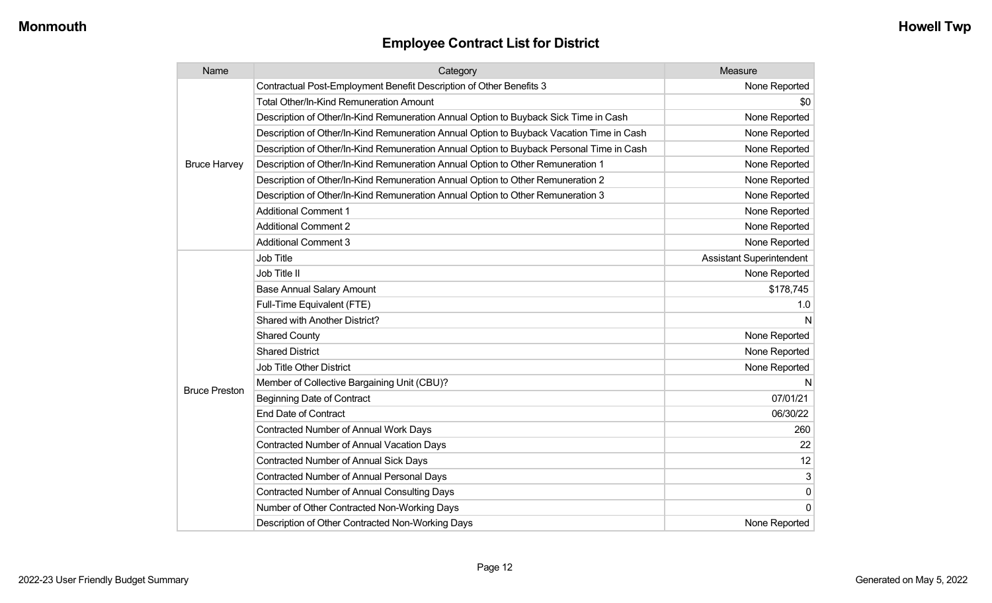| Name                 | Category                                                                                 | Measure                         |
|----------------------|------------------------------------------------------------------------------------------|---------------------------------|
|                      | Contractual Post-Employment Benefit Description of Other Benefits 3                      | None Reported                   |
|                      | <b>Total Other/In-Kind Remuneration Amount</b>                                           | \$0                             |
|                      | Description of Other/In-Kind Remuneration Annual Option to Buyback Sick Time in Cash     | None Reported                   |
|                      | Description of Other/In-Kind Remuneration Annual Option to Buyback Vacation Time in Cash | None Reported                   |
|                      | Description of Other/In-Kind Remuneration Annual Option to Buyback Personal Time in Cash | None Reported                   |
| <b>Bruce Harvey</b>  | Description of Other/In-Kind Remuneration Annual Option to Other Remuneration 1          | None Reported                   |
|                      | Description of Other/In-Kind Remuneration Annual Option to Other Remuneration 2          | None Reported                   |
|                      | Description of Other/In-Kind Remuneration Annual Option to Other Remuneration 3          | None Reported                   |
|                      | <b>Additional Comment 1</b>                                                              | None Reported                   |
|                      | <b>Additional Comment 2</b>                                                              | None Reported                   |
|                      | <b>Additional Comment 3</b>                                                              | None Reported                   |
|                      | Job Title                                                                                | <b>Assistant Superintendent</b> |
|                      | Job Title II                                                                             | None Reported                   |
|                      | <b>Base Annual Salary Amount</b>                                                         | \$178,745                       |
|                      | Full-Time Equivalent (FTE)                                                               | 1.0                             |
|                      | Shared with Another District?                                                            | N                               |
|                      | <b>Shared County</b>                                                                     | None Reported                   |
|                      | <b>Shared District</b>                                                                   | None Reported                   |
|                      | Job Title Other District                                                                 | None Reported                   |
|                      | Member of Collective Bargaining Unit (CBU)?                                              | N                               |
| <b>Bruce Preston</b> | <b>Beginning Date of Contract</b>                                                        | 07/01/21                        |
|                      | <b>End Date of Contract</b>                                                              | 06/30/22                        |
|                      | <b>Contracted Number of Annual Work Days</b>                                             | 260                             |
|                      | Contracted Number of Annual Vacation Days                                                | 22                              |
|                      | <b>Contracted Number of Annual Sick Days</b>                                             | 12                              |
|                      | <b>Contracted Number of Annual Personal Days</b>                                         | 3                               |
|                      | <b>Contracted Number of Annual Consulting Days</b>                                       | $\mathbf 0$                     |
|                      | Number of Other Contracted Non-Working Days                                              | $\Omega$                        |
|                      | Description of Other Contracted Non-Working Days                                         | None Reported                   |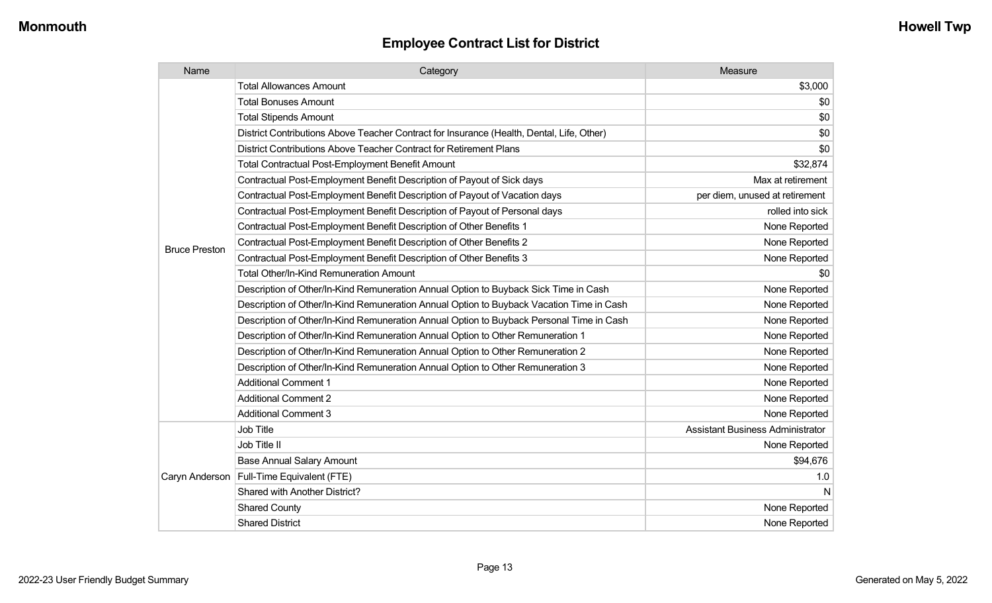| Name                 | Category                                                                                  | Measure                                 |
|----------------------|-------------------------------------------------------------------------------------------|-----------------------------------------|
|                      | <b>Total Allowances Amount</b>                                                            | \$3,000                                 |
|                      | <b>Total Bonuses Amount</b>                                                               | \$0                                     |
|                      | <b>Total Stipends Amount</b>                                                              | \$0                                     |
|                      | District Contributions Above Teacher Contract for Insurance (Health, Dental, Life, Other) | \$0                                     |
|                      | District Contributions Above Teacher Contract for Retirement Plans                        | \$0                                     |
|                      | <b>Total Contractual Post-Employment Benefit Amount</b>                                   | \$32,874                                |
|                      | Contractual Post-Employment Benefit Description of Payout of Sick days                    | Max at retirement                       |
|                      | Contractual Post-Employment Benefit Description of Payout of Vacation days                | per diem, unused at retirement          |
|                      | Contractual Post-Employment Benefit Description of Payout of Personal days                | rolled into sick                        |
|                      | Contractual Post-Employment Benefit Description of Other Benefits 1                       | None Reported                           |
| <b>Bruce Preston</b> | Contractual Post-Employment Benefit Description of Other Benefits 2                       | None Reported                           |
|                      | Contractual Post-Employment Benefit Description of Other Benefits 3                       | None Reported                           |
|                      | <b>Total Other/In-Kind Remuneration Amount</b>                                            | \$0                                     |
|                      | Description of Other/In-Kind Remuneration Annual Option to Buyback Sick Time in Cash      | None Reported                           |
|                      | Description of Other/In-Kind Remuneration Annual Option to Buyback Vacation Time in Cash  | None Reported                           |
|                      | Description of Other/In-Kind Remuneration Annual Option to Buyback Personal Time in Cash  | None Reported                           |
|                      | Description of Other/In-Kind Remuneration Annual Option to Other Remuneration 1           | None Reported                           |
|                      | Description of Other/In-Kind Remuneration Annual Option to Other Remuneration 2           | None Reported                           |
|                      | Description of Other/In-Kind Remuneration Annual Option to Other Remuneration 3           | None Reported                           |
|                      | <b>Additional Comment 1</b>                                                               | None Reported                           |
|                      | <b>Additional Comment 2</b>                                                               | None Reported                           |
|                      | <b>Additional Comment 3</b>                                                               | None Reported                           |
|                      | Job Title                                                                                 | <b>Assistant Business Administrator</b> |
| Caryn Anderson       | Job Title II                                                                              | None Reported                           |
|                      | <b>Base Annual Salary Amount</b>                                                          | \$94,676                                |
|                      | Full-Time Equivalent (FTE)                                                                | 1.0                                     |
|                      | Shared with Another District?                                                             | N                                       |
|                      | <b>Shared County</b>                                                                      | None Reported                           |
|                      | <b>Shared District</b>                                                                    | None Reported                           |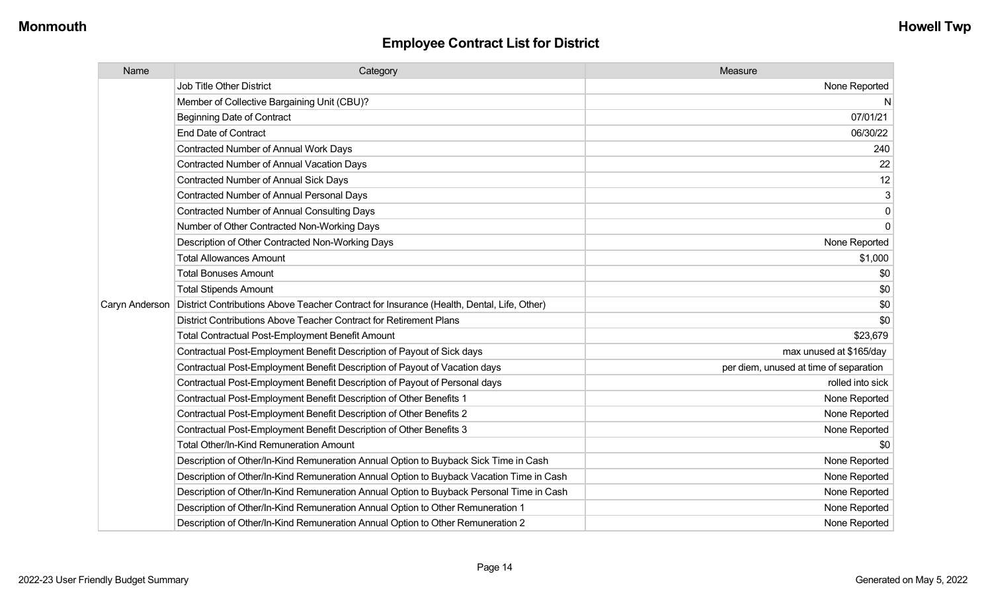| Name | Category                                                                                                   | Measure                                |
|------|------------------------------------------------------------------------------------------------------------|----------------------------------------|
|      | <b>Job Title Other District</b>                                                                            | None Reported                          |
|      | Member of Collective Bargaining Unit (CBU)?                                                                | N                                      |
|      | <b>Beginning Date of Contract</b>                                                                          | 07/01/21                               |
|      | <b>End Date of Contract</b>                                                                                | 06/30/22                               |
|      | <b>Contracted Number of Annual Work Days</b>                                                               | 240                                    |
|      | <b>Contracted Number of Annual Vacation Days</b>                                                           | 22                                     |
|      | <b>Contracted Number of Annual Sick Days</b>                                                               | 12                                     |
|      | <b>Contracted Number of Annual Personal Days</b>                                                           | 3                                      |
|      | Contracted Number of Annual Consulting Days                                                                | $\mathbf 0$                            |
|      | Number of Other Contracted Non-Working Days                                                                | $\mathbf{0}$                           |
|      | Description of Other Contracted Non-Working Days                                                           | None Reported                          |
|      | <b>Total Allowances Amount</b>                                                                             | \$1,000                                |
|      | <b>Total Bonuses Amount</b>                                                                                | \$0                                    |
|      | <b>Total Stipends Amount</b>                                                                               | \$0                                    |
|      | Caryn Anderson   District Contributions Above Teacher Contract for Insurance (Health, Dental, Life, Other) | \$0                                    |
|      | District Contributions Above Teacher Contract for Retirement Plans                                         | \$0                                    |
|      | <b>Total Contractual Post-Employment Benefit Amount</b>                                                    | \$23,679                               |
|      | Contractual Post-Employment Benefit Description of Payout of Sick days                                     | max unused at \$165/day                |
|      | Contractual Post-Employment Benefit Description of Payout of Vacation days                                 | per diem, unused at time of separation |
|      | Contractual Post-Employment Benefit Description of Payout of Personal days                                 | rolled into sick                       |
|      | Contractual Post-Employment Benefit Description of Other Benefits 1                                        | None Reported                          |
|      | Contractual Post-Employment Benefit Description of Other Benefits 2                                        | None Reported                          |
|      | Contractual Post-Employment Benefit Description of Other Benefits 3                                        | None Reported                          |
|      | <b>Total Other/In-Kind Remuneration Amount</b>                                                             | \$0                                    |
|      | Description of Other/In-Kind Remuneration Annual Option to Buyback Sick Time in Cash                       | None Reported                          |
|      | Description of Other/In-Kind Remuneration Annual Option to Buyback Vacation Time in Cash                   | None Reported                          |
|      | Description of Other/In-Kind Remuneration Annual Option to Buyback Personal Time in Cash                   | None Reported                          |
|      | Description of Other/In-Kind Remuneration Annual Option to Other Remuneration 1                            | None Reported                          |
|      | Description of Other/In-Kind Remuneration Annual Option to Other Remuneration 2                            | None Reported                          |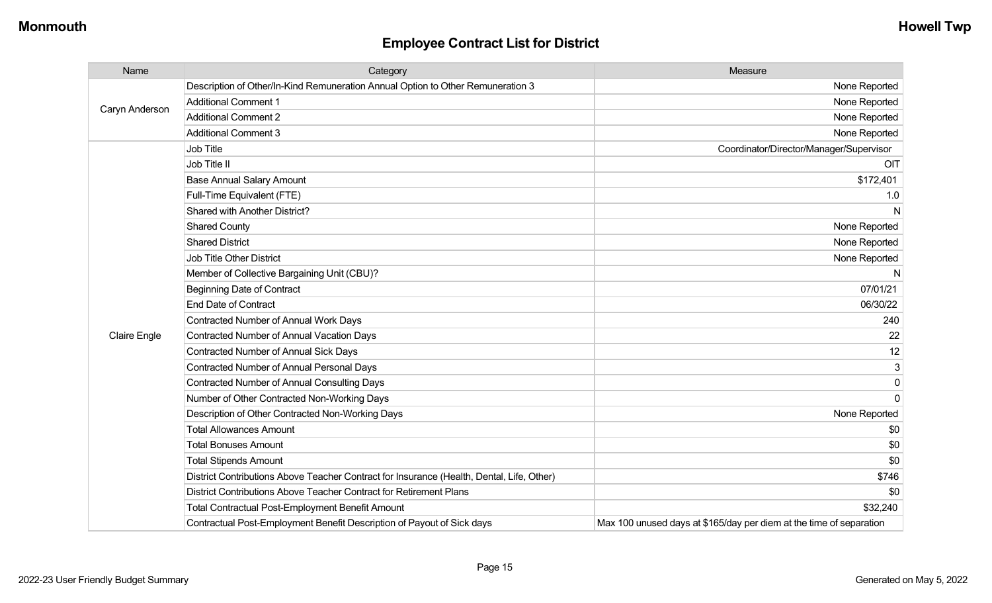| Name                | Category                                                                                  | Measure                                                             |
|---------------------|-------------------------------------------------------------------------------------------|---------------------------------------------------------------------|
| Caryn Anderson      | Description of Other/In-Kind Remuneration Annual Option to Other Remuneration 3           | None Reported                                                       |
|                     | <b>Additional Comment 1</b>                                                               | None Reported                                                       |
|                     | <b>Additional Comment 2</b>                                                               | None Reported                                                       |
|                     | <b>Additional Comment 3</b>                                                               | None Reported                                                       |
|                     | Job Title                                                                                 | Coordinator/Director/Manager/Supervisor                             |
|                     | Job Title II                                                                              | OIT                                                                 |
|                     | <b>Base Annual Salary Amount</b>                                                          | \$172,401                                                           |
|                     | Full-Time Equivalent (FTE)                                                                | 1.0                                                                 |
|                     | <b>Shared with Another District?</b>                                                      | N                                                                   |
|                     | <b>Shared County</b>                                                                      | None Reported                                                       |
|                     | <b>Shared District</b>                                                                    | None Reported                                                       |
|                     | <b>Job Title Other District</b>                                                           | None Reported                                                       |
|                     | Member of Collective Bargaining Unit (CBU)?                                               | N                                                                   |
|                     | <b>Beginning Date of Contract</b>                                                         | 07/01/21                                                            |
|                     | <b>End Date of Contract</b>                                                               | 06/30/22                                                            |
|                     | Contracted Number of Annual Work Days                                                     | 240                                                                 |
| <b>Claire Engle</b> | Contracted Number of Annual Vacation Days                                                 | 22                                                                  |
|                     | Contracted Number of Annual Sick Days                                                     | 12                                                                  |
|                     | <b>Contracted Number of Annual Personal Days</b>                                          | 3                                                                   |
|                     | <b>Contracted Number of Annual Consulting Days</b>                                        | $\Omega$                                                            |
|                     | Number of Other Contracted Non-Working Days                                               | $\Omega$                                                            |
|                     | Description of Other Contracted Non-Working Days                                          | None Reported                                                       |
|                     | <b>Total Allowances Amount</b>                                                            | \$0                                                                 |
|                     | <b>Total Bonuses Amount</b>                                                               | \$0                                                                 |
|                     | <b>Total Stipends Amount</b>                                                              | \$0                                                                 |
|                     | District Contributions Above Teacher Contract for Insurance (Health, Dental, Life, Other) | \$746                                                               |
|                     | District Contributions Above Teacher Contract for Retirement Plans                        | \$0                                                                 |
|                     | <b>Total Contractual Post-Employment Benefit Amount</b>                                   | \$32,240                                                            |
|                     | Contractual Post-Employment Benefit Description of Payout of Sick days                    | Max 100 unused days at \$165/day per diem at the time of separation |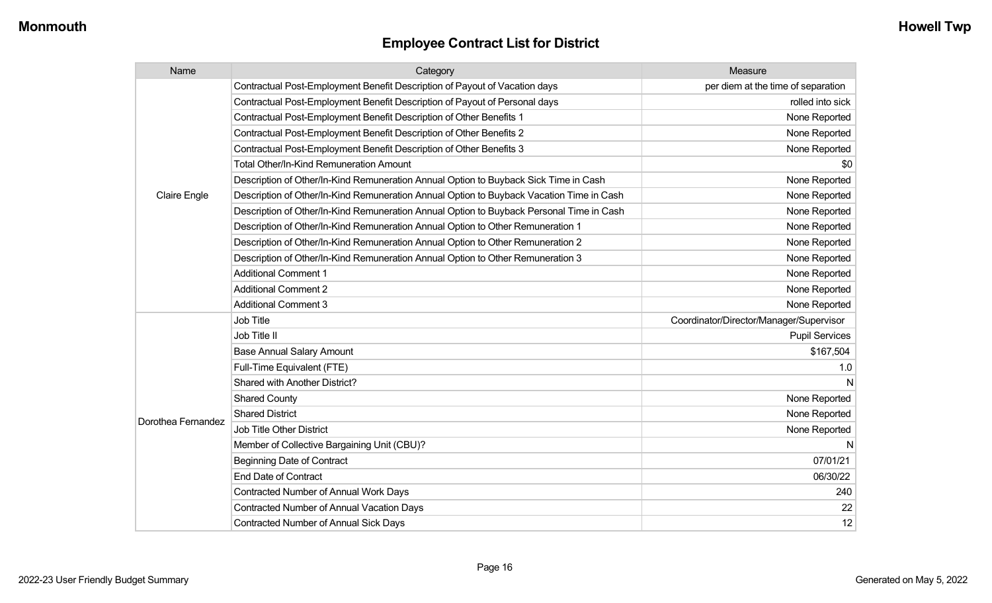| Name               | Category                                                                                 | Measure                                 |
|--------------------|------------------------------------------------------------------------------------------|-----------------------------------------|
|                    | Contractual Post-Employment Benefit Description of Payout of Vacation days               | per diem at the time of separation      |
|                    | Contractual Post-Employment Benefit Description of Payout of Personal days               | rolled into sick                        |
|                    | Contractual Post-Employment Benefit Description of Other Benefits 1                      | None Reported                           |
|                    | Contractual Post-Employment Benefit Description of Other Benefits 2                      | None Reported                           |
|                    | Contractual Post-Employment Benefit Description of Other Benefits 3                      | None Reported                           |
|                    | Total Other/In-Kind Remuneration Amount                                                  | \$0                                     |
|                    | Description of Other/In-Kind Remuneration Annual Option to Buyback Sick Time in Cash     | None Reported                           |
| Claire Engle       | Description of Other/In-Kind Remuneration Annual Option to Buyback Vacation Time in Cash | None Reported                           |
|                    | Description of Other/In-Kind Remuneration Annual Option to Buyback Personal Time in Cash | None Reported                           |
|                    | Description of Other/In-Kind Remuneration Annual Option to Other Remuneration 1          | None Reported                           |
|                    | Description of Other/In-Kind Remuneration Annual Option to Other Remuneration 2          | None Reported                           |
|                    | Description of Other/In-Kind Remuneration Annual Option to Other Remuneration 3          | None Reported                           |
|                    | <b>Additional Comment 1</b>                                                              | None Reported                           |
|                    | <b>Additional Comment 2</b>                                                              | None Reported                           |
|                    | <b>Additional Comment 3</b>                                                              | None Reported                           |
|                    | Job Title                                                                                | Coordinator/Director/Manager/Supervisor |
|                    | Job Title II                                                                             | <b>Pupil Services</b>                   |
|                    | <b>Base Annual Salary Amount</b>                                                         | \$167,504                               |
|                    | Full-Time Equivalent (FTE)                                                               | 1.0                                     |
|                    | <b>Shared with Another District?</b>                                                     | N                                       |
|                    | <b>Shared County</b>                                                                     | None Reported                           |
| Dorothea Fernandez | <b>Shared District</b>                                                                   | None Reported                           |
|                    | <b>Job Title Other District</b>                                                          | None Reported                           |
|                    | Member of Collective Bargaining Unit (CBU)?                                              | N                                       |
|                    | <b>Beginning Date of Contract</b>                                                        | 07/01/21                                |
|                    | <b>End Date of Contract</b>                                                              | 06/30/22                                |
|                    | <b>Contracted Number of Annual Work Days</b>                                             | 240                                     |
|                    | <b>Contracted Number of Annual Vacation Days</b>                                         | 22                                      |
|                    | Contracted Number of Annual Sick Days                                                    | 12                                      |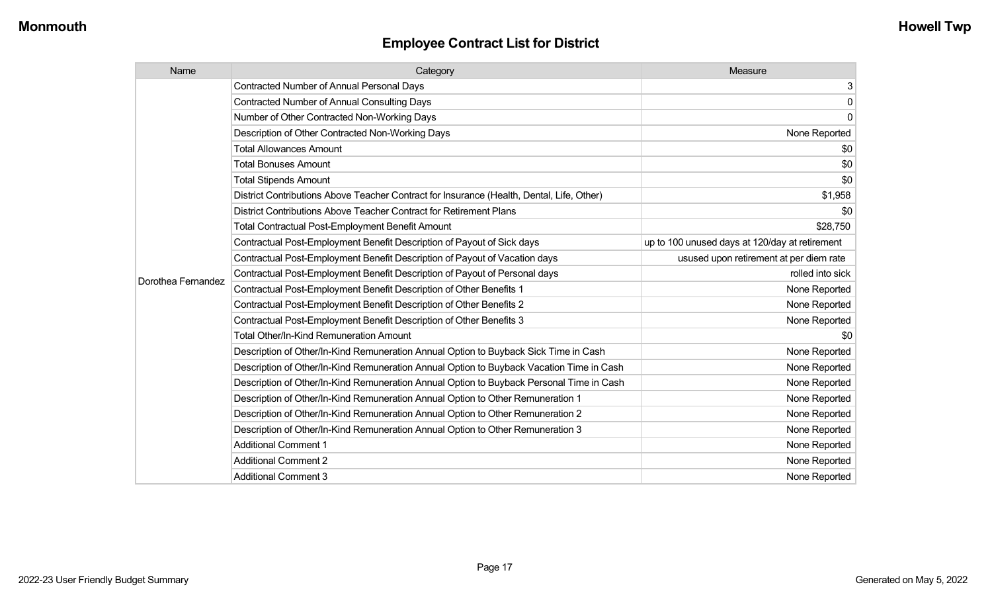| Name               | Category                                                                                  | Measure                                        |
|--------------------|-------------------------------------------------------------------------------------------|------------------------------------------------|
|                    | <b>Contracted Number of Annual Personal Days</b>                                          | 3                                              |
|                    | <b>Contracted Number of Annual Consulting Days</b>                                        | 0                                              |
|                    | Number of Other Contracted Non-Working Days                                               | 0                                              |
|                    | Description of Other Contracted Non-Working Days                                          | None Reported                                  |
|                    | <b>Total Allowances Amount</b>                                                            | \$0                                            |
|                    | <b>Total Bonuses Amount</b>                                                               | \$0                                            |
|                    | <b>Total Stipends Amount</b>                                                              | \$0                                            |
|                    | District Contributions Above Teacher Contract for Insurance (Health, Dental, Life, Other) | \$1,958                                        |
|                    | District Contributions Above Teacher Contract for Retirement Plans                        | \$0                                            |
|                    | <b>Total Contractual Post-Employment Benefit Amount</b>                                   | \$28,750                                       |
|                    | Contractual Post-Employment Benefit Description of Payout of Sick days                    | up to 100 unused days at 120/day at retirement |
|                    | Contractual Post-Employment Benefit Description of Payout of Vacation days                | usused upon retirement at per diem rate        |
| Dorothea Fernandez | Contractual Post-Employment Benefit Description of Payout of Personal days                | rolled into sick                               |
|                    | Contractual Post-Employment Benefit Description of Other Benefits 1                       | None Reported                                  |
|                    | Contractual Post-Employment Benefit Description of Other Benefits 2                       | None Reported                                  |
|                    | Contractual Post-Employment Benefit Description of Other Benefits 3                       | None Reported                                  |
|                    | <b>Total Other/In-Kind Remuneration Amount</b>                                            | \$0                                            |
|                    | Description of Other/In-Kind Remuneration Annual Option to Buyback Sick Time in Cash      | None Reported                                  |
|                    | Description of Other/In-Kind Remuneration Annual Option to Buyback Vacation Time in Cash  | None Reported                                  |
|                    | Description of Other/In-Kind Remuneration Annual Option to Buyback Personal Time in Cash  | None Reported                                  |
|                    | Description of Other/In-Kind Remuneration Annual Option to Other Remuneration 1           | None Reported                                  |
|                    | Description of Other/In-Kind Remuneration Annual Option to Other Remuneration 2           | None Reported                                  |
|                    | Description of Other/In-Kind Remuneration Annual Option to Other Remuneration 3           | None Reported                                  |
|                    | <b>Additional Comment 1</b>                                                               | None Reported                                  |
|                    | <b>Additional Comment 2</b>                                                               | None Reported                                  |
|                    | <b>Additional Comment 3</b>                                                               | None Reported                                  |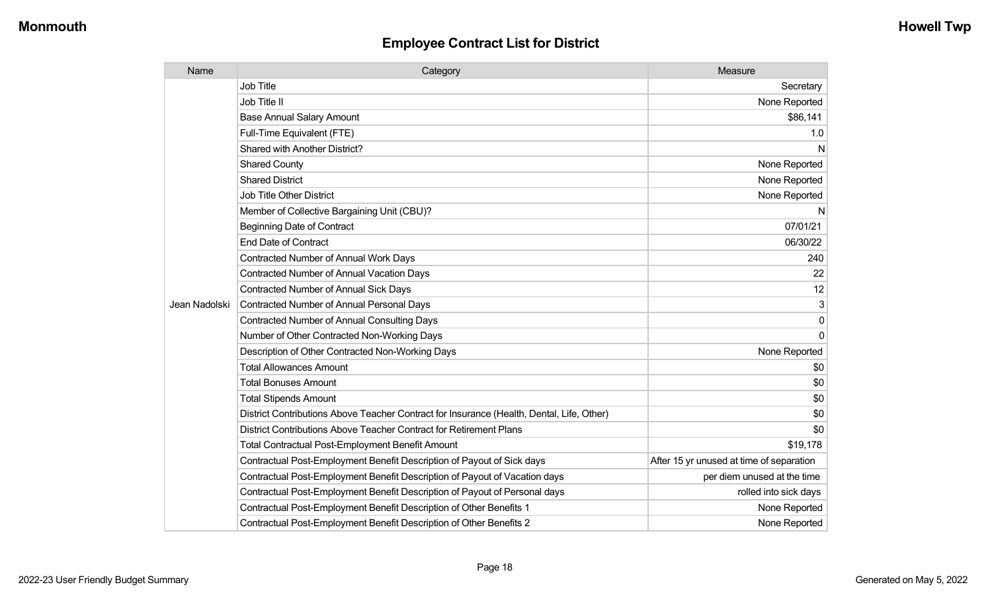| Name          | Category                                                                                  | Measure                                  |
|---------------|-------------------------------------------------------------------------------------------|------------------------------------------|
|               | <b>Job Title</b>                                                                          | Secretary                                |
|               | Job Title II                                                                              | None Reported                            |
|               | <b>Base Annual Salary Amount</b>                                                          | \$86,141                                 |
|               | Full-Time Equivalent (FTE)                                                                | 1.0                                      |
|               | Shared with Another District?                                                             | N                                        |
|               | <b>Shared County</b>                                                                      | None Reported                            |
|               | <b>Shared District</b>                                                                    | None Reported                            |
|               | <b>Job Title Other District</b>                                                           | None Reported                            |
|               | Member of Collective Bargaining Unit (CBU)?                                               | N                                        |
|               | <b>Beginning Date of Contract</b>                                                         | 07/01/21                                 |
|               | <b>End Date of Contract</b>                                                               | 06/30/22                                 |
|               | Contracted Number of Annual Work Days                                                     | 240                                      |
|               | Contracted Number of Annual Vacation Days                                                 | 22                                       |
|               | <b>Contracted Number of Annual Sick Days</b>                                              | 12                                       |
| Jean Nadolski | Contracted Number of Annual Personal Days                                                 | 3                                        |
|               | <b>Contracted Number of Annual Consulting Days</b>                                        | $\mathbf 0$                              |
|               | Number of Other Contracted Non-Working Days                                               | $\Omega$                                 |
|               | Description of Other Contracted Non-Working Days                                          | None Reported                            |
|               | <b>Total Allowances Amount</b>                                                            | \$0                                      |
|               | <b>Total Bonuses Amount</b>                                                               | \$0                                      |
|               | <b>Total Stipends Amount</b>                                                              | \$0                                      |
|               | District Contributions Above Teacher Contract for Insurance (Health, Dental, Life, Other) | \$0                                      |
|               | District Contributions Above Teacher Contract for Retirement Plans                        | \$0                                      |
|               | <b>Total Contractual Post-Employment Benefit Amount</b>                                   | \$19,178                                 |
|               | Contractual Post-Employment Benefit Description of Payout of Sick days                    | After 15 yr unused at time of separation |
|               | Contractual Post-Employment Benefit Description of Payout of Vacation days                | per diem unused at the time              |
|               | Contractual Post-Employment Benefit Description of Payout of Personal days                | rolled into sick days                    |
|               | Contractual Post-Employment Benefit Description of Other Benefits 1                       | None Reported                            |
|               | Contractual Post-Employment Benefit Description of Other Benefits 2                       | None Reported                            |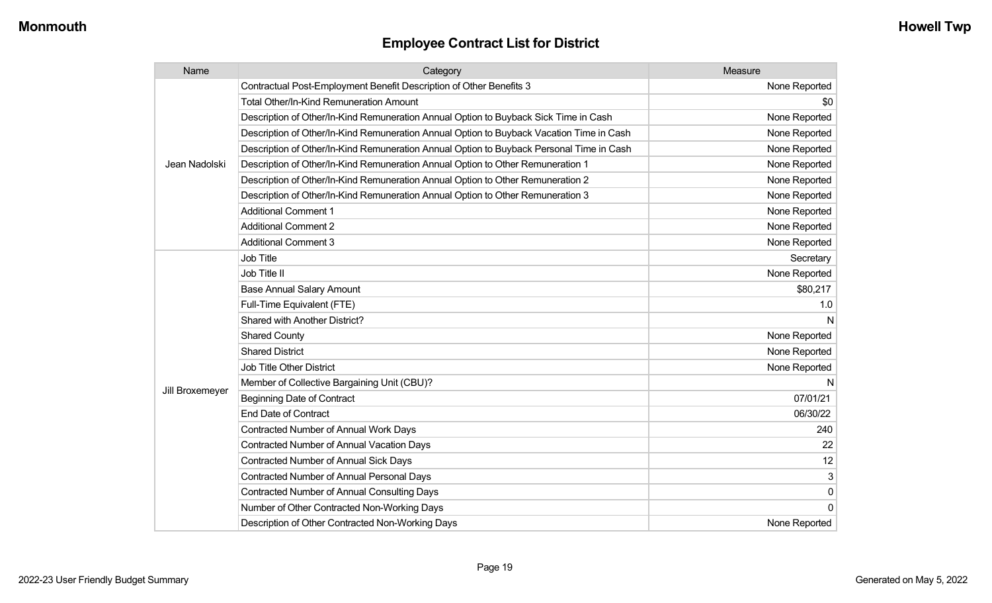| Name            | Category                                                                                 | Measure       |
|-----------------|------------------------------------------------------------------------------------------|---------------|
|                 | Contractual Post-Employment Benefit Description of Other Benefits 3                      | None Reported |
|                 | Total Other/In-Kind Remuneration Amount                                                  | \$0           |
|                 | Description of Other/In-Kind Remuneration Annual Option to Buyback Sick Time in Cash     | None Reported |
|                 | Description of Other/In-Kind Remuneration Annual Option to Buyback Vacation Time in Cash | None Reported |
|                 | Description of Other/In-Kind Remuneration Annual Option to Buyback Personal Time in Cash | None Reported |
| Jean Nadolski   | Description of Other/In-Kind Remuneration Annual Option to Other Remuneration 1          | None Reported |
|                 | Description of Other/In-Kind Remuneration Annual Option to Other Remuneration 2          | None Reported |
|                 | Description of Other/In-Kind Remuneration Annual Option to Other Remuneration 3          | None Reported |
|                 | <b>Additional Comment 1</b>                                                              | None Reported |
|                 | <b>Additional Comment 2</b>                                                              | None Reported |
|                 | <b>Additional Comment 3</b>                                                              | None Reported |
|                 | <b>Job Title</b>                                                                         | Secretary     |
|                 | Job Title II                                                                             | None Reported |
|                 | <b>Base Annual Salary Amount</b>                                                         | \$80,217      |
|                 | Full-Time Equivalent (FTE)                                                               | 1.0           |
|                 | <b>Shared with Another District?</b>                                                     | N             |
|                 | <b>Shared County</b>                                                                     | None Reported |
|                 | <b>Shared District</b>                                                                   | None Reported |
|                 | Job Title Other District                                                                 | None Reported |
|                 | Member of Collective Bargaining Unit (CBU)?                                              | N             |
| Jill Broxemeyer | <b>Beginning Date of Contract</b>                                                        | 07/01/21      |
|                 | <b>End Date of Contract</b>                                                              | 06/30/22      |
|                 | <b>Contracted Number of Annual Work Days</b>                                             | 240           |
|                 | Contracted Number of Annual Vacation Days                                                | 22            |
|                 | <b>Contracted Number of Annual Sick Days</b>                                             | 12            |
|                 | <b>Contracted Number of Annual Personal Days</b>                                         | 3             |
|                 | <b>Contracted Number of Annual Consulting Days</b>                                       | $\pmb{0}$     |
|                 | Number of Other Contracted Non-Working Days                                              | $\Omega$      |
|                 | Description of Other Contracted Non-Working Days                                         | None Reported |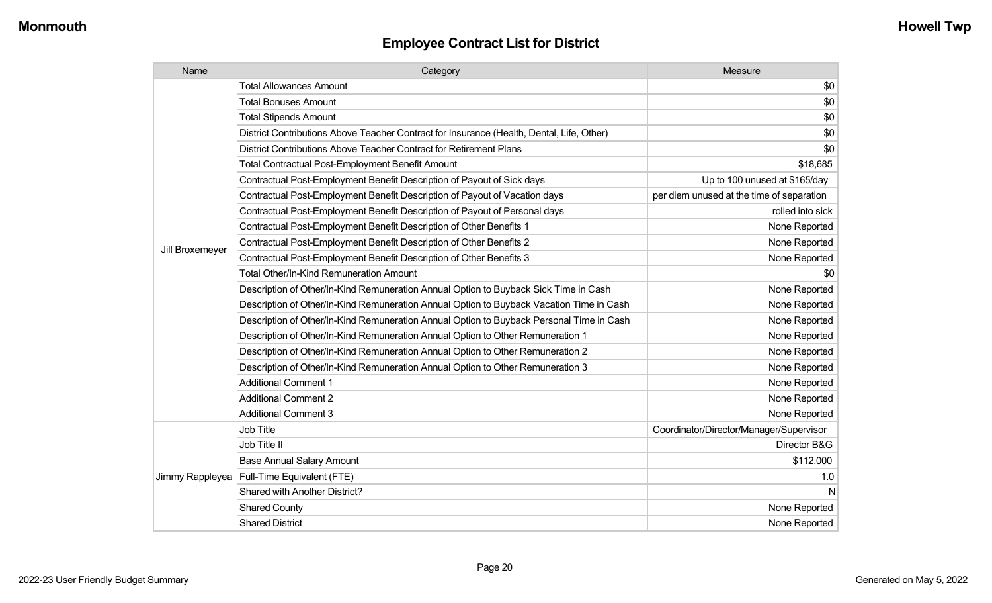| Name            | Category                                                                                  | Measure                                   |
|-----------------|-------------------------------------------------------------------------------------------|-------------------------------------------|
|                 | <b>Total Allowances Amount</b>                                                            | \$0                                       |
|                 | <b>Total Bonuses Amount</b>                                                               | \$0                                       |
|                 | <b>Total Stipends Amount</b>                                                              | \$0                                       |
|                 | District Contributions Above Teacher Contract for Insurance (Health, Dental, Life, Other) | \$0                                       |
|                 | District Contributions Above Teacher Contract for Retirement Plans                        | \$0                                       |
|                 | <b>Total Contractual Post-Employment Benefit Amount</b>                                   | \$18,685                                  |
|                 | Contractual Post-Employment Benefit Description of Payout of Sick days                    | Up to 100 unused at \$165/day             |
|                 | Contractual Post-Employment Benefit Description of Payout of Vacation days                | per diem unused at the time of separation |
|                 | Contractual Post-Employment Benefit Description of Payout of Personal days                | rolled into sick                          |
|                 | Contractual Post-Employment Benefit Description of Other Benefits 1                       | None Reported                             |
|                 | Contractual Post-Employment Benefit Description of Other Benefits 2                       | None Reported                             |
| Jill Broxemeyer | Contractual Post-Employment Benefit Description of Other Benefits 3                       | None Reported                             |
|                 | <b>Total Other/In-Kind Remuneration Amount</b>                                            | \$0                                       |
|                 | Description of Other/In-Kind Remuneration Annual Option to Buyback Sick Time in Cash      | None Reported                             |
|                 | Description of Other/In-Kind Remuneration Annual Option to Buyback Vacation Time in Cash  | None Reported                             |
|                 | Description of Other/In-Kind Remuneration Annual Option to Buyback Personal Time in Cash  | None Reported                             |
|                 | Description of Other/In-Kind Remuneration Annual Option to Other Remuneration 1           | None Reported                             |
|                 | Description of Other/In-Kind Remuneration Annual Option to Other Remuneration 2           | None Reported                             |
|                 | Description of Other/In-Kind Remuneration Annual Option to Other Remuneration 3           | None Reported                             |
|                 | <b>Additional Comment 1</b>                                                               | None Reported                             |
|                 | <b>Additional Comment 2</b>                                                               | None Reported                             |
|                 | <b>Additional Comment 3</b>                                                               | None Reported                             |
|                 | <b>Job Title</b>                                                                          | Coordinator/Director/Manager/Supervisor   |
| Jimmy Rappleyea | Job Title II                                                                              | Director B&G                              |
|                 | <b>Base Annual Salary Amount</b>                                                          | \$112,000                                 |
|                 | Full-Time Equivalent (FTE)                                                                | 1.0                                       |
|                 | Shared with Another District?                                                             | N                                         |
|                 | <b>Shared County</b>                                                                      | None Reported                             |
|                 | <b>Shared District</b>                                                                    | None Reported                             |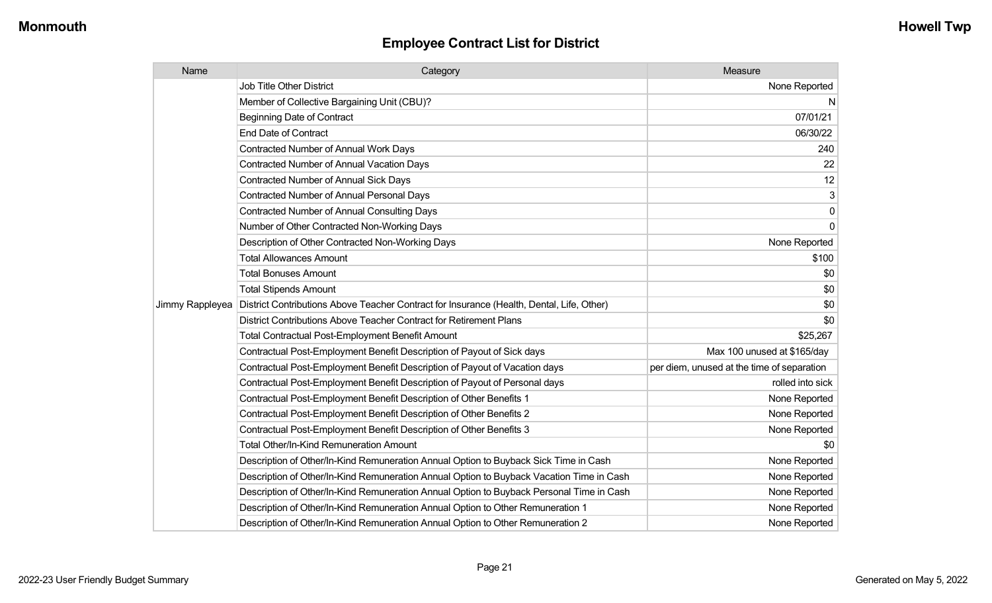| Name            | Category                                                                                  | Measure                                    |
|-----------------|-------------------------------------------------------------------------------------------|--------------------------------------------|
|                 | <b>Job Title Other District</b>                                                           | None Reported                              |
|                 | Member of Collective Bargaining Unit (CBU)?                                               | N                                          |
|                 | <b>Beginning Date of Contract</b>                                                         | 07/01/21                                   |
|                 | <b>End Date of Contract</b>                                                               | 06/30/22                                   |
|                 | <b>Contracted Number of Annual Work Days</b>                                              | 240                                        |
|                 | <b>Contracted Number of Annual Vacation Days</b>                                          | 22                                         |
|                 | Contracted Number of Annual Sick Days                                                     | 12                                         |
|                 | Contracted Number of Annual Personal Days                                                 | 3                                          |
|                 | <b>Contracted Number of Annual Consulting Days</b>                                        | $\mathsf{O}\xspace$                        |
|                 | Number of Other Contracted Non-Working Days                                               | $\mathbf 0$                                |
|                 | Description of Other Contracted Non-Working Days                                          | None Reported                              |
|                 | <b>Total Allowances Amount</b>                                                            | \$100                                      |
|                 | <b>Total Bonuses Amount</b>                                                               | \$0                                        |
|                 | <b>Total Stipends Amount</b>                                                              | \$0                                        |
| Jimmy Rappleyea | District Contributions Above Teacher Contract for Insurance (Health, Dental, Life, Other) | \$0                                        |
|                 | District Contributions Above Teacher Contract for Retirement Plans                        | \$0                                        |
|                 | <b>Total Contractual Post-Employment Benefit Amount</b>                                   | \$25,267                                   |
|                 | Contractual Post-Employment Benefit Description of Payout of Sick days                    | Max 100 unused at \$165/day                |
|                 | Contractual Post-Employment Benefit Description of Payout of Vacation days                | per diem, unused at the time of separation |
|                 | Contractual Post-Employment Benefit Description of Payout of Personal days                | rolled into sick                           |
|                 | Contractual Post-Employment Benefit Description of Other Benefits 1                       | None Reported                              |
|                 | Contractual Post-Employment Benefit Description of Other Benefits 2                       | None Reported                              |
|                 | Contractual Post-Employment Benefit Description of Other Benefits 3                       | None Reported                              |
|                 | Total Other/In-Kind Remuneration Amount                                                   | \$0                                        |
|                 | Description of Other/In-Kind Remuneration Annual Option to Buyback Sick Time in Cash      | None Reported                              |
|                 | Description of Other/In-Kind Remuneration Annual Option to Buyback Vacation Time in Cash  | None Reported                              |
|                 | Description of Other/In-Kind Remuneration Annual Option to Buyback Personal Time in Cash  | None Reported                              |
|                 | Description of Other/In-Kind Remuneration Annual Option to Other Remuneration 1           | None Reported                              |
|                 | Description of Other/In-Kind Remuneration Annual Option to Other Remuneration 2           | None Reported                              |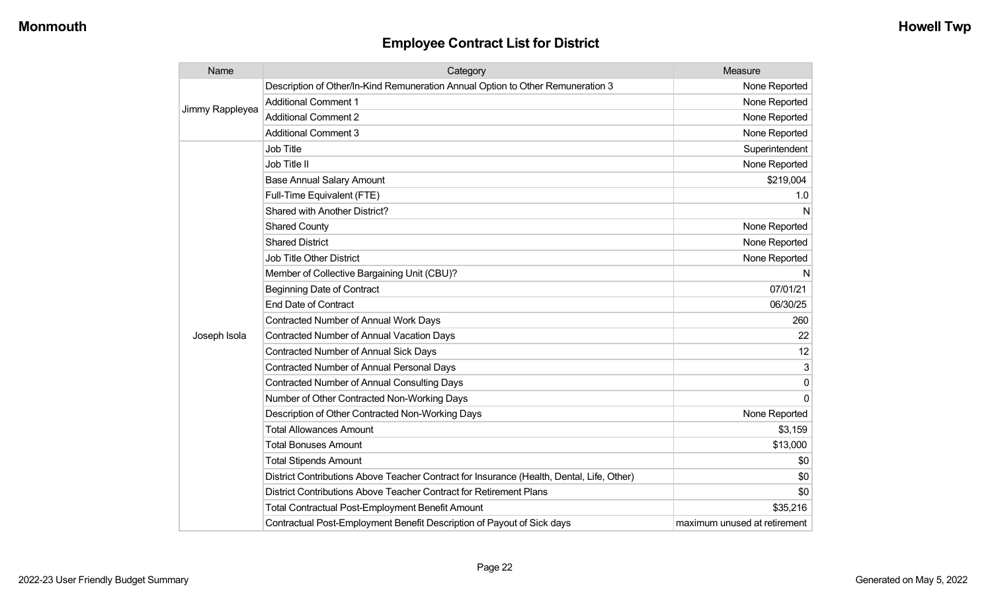| Name            | Category                                                                                  | Measure                      |
|-----------------|-------------------------------------------------------------------------------------------|------------------------------|
|                 | Description of Other/In-Kind Remuneration Annual Option to Other Remuneration 3           | None Reported                |
| Jimmy Rappleyea | <b>Additional Comment 1</b>                                                               | None Reported                |
|                 | <b>Additional Comment 2</b>                                                               | None Reported                |
|                 | <b>Additional Comment 3</b>                                                               | None Reported                |
|                 | Job Title                                                                                 | Superintendent               |
|                 | Job Title II                                                                              | None Reported                |
|                 | <b>Base Annual Salary Amount</b>                                                          | \$219,004                    |
|                 | Full-Time Equivalent (FTE)                                                                | 1.0                          |
|                 | <b>Shared with Another District?</b>                                                      | N                            |
|                 | <b>Shared County</b>                                                                      | None Reported                |
|                 | <b>Shared District</b>                                                                    | None Reported                |
|                 | <b>Job Title Other District</b>                                                           | None Reported                |
|                 | Member of Collective Bargaining Unit (CBU)?                                               | N                            |
|                 | <b>Beginning Date of Contract</b>                                                         | 07/01/21                     |
|                 | <b>End Date of Contract</b>                                                               | 06/30/25                     |
|                 | <b>Contracted Number of Annual Work Days</b>                                              | 260                          |
| Joseph Isola    | Contracted Number of Annual Vacation Days                                                 | 22                           |
|                 | Contracted Number of Annual Sick Days                                                     | 12                           |
|                 | <b>Contracted Number of Annual Personal Days</b>                                          | 3                            |
|                 | <b>Contracted Number of Annual Consulting Days</b>                                        | 0                            |
|                 | Number of Other Contracted Non-Working Days                                               | $\Omega$                     |
|                 | Description of Other Contracted Non-Working Days                                          | None Reported                |
|                 | <b>Total Allowances Amount</b>                                                            | \$3,159                      |
|                 | <b>Total Bonuses Amount</b>                                                               | \$13,000                     |
|                 | <b>Total Stipends Amount</b>                                                              | \$0                          |
|                 | District Contributions Above Teacher Contract for Insurance (Health, Dental, Life, Other) | \$0                          |
|                 | District Contributions Above Teacher Contract for Retirement Plans                        | \$0                          |
|                 | <b>Total Contractual Post-Employment Benefit Amount</b>                                   | \$35,216                     |
|                 | Contractual Post-Employment Benefit Description of Payout of Sick days                    | maximum unused at retirement |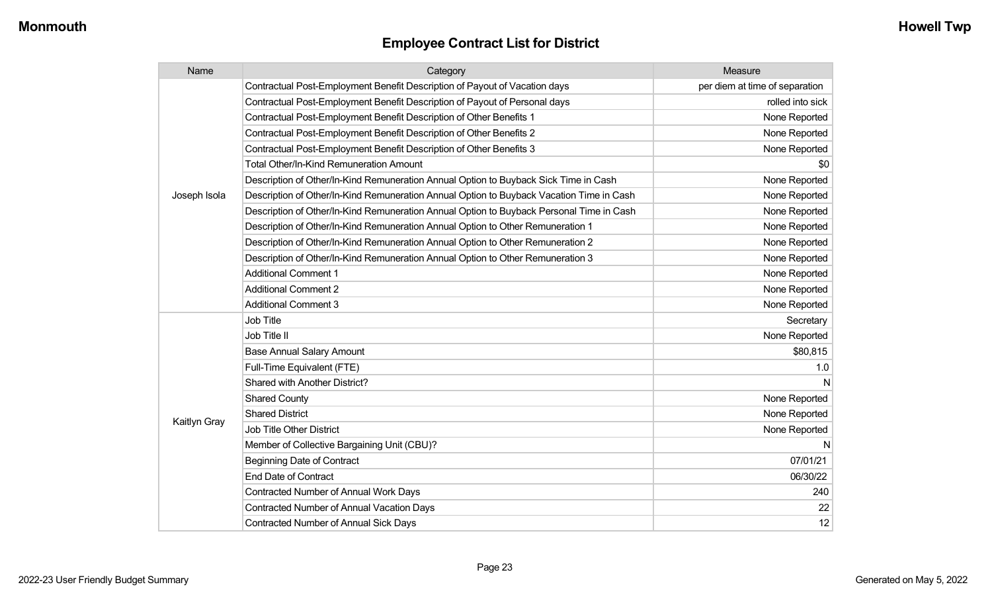| Name         | Category                                                                                 | Measure                        |
|--------------|------------------------------------------------------------------------------------------|--------------------------------|
|              | Contractual Post-Employment Benefit Description of Payout of Vacation days               | per diem at time of separation |
|              | Contractual Post-Employment Benefit Description of Payout of Personal days               | rolled into sick               |
|              | Contractual Post-Employment Benefit Description of Other Benefits 1                      | None Reported                  |
|              | Contractual Post-Employment Benefit Description of Other Benefits 2                      | None Reported                  |
|              | Contractual Post-Employment Benefit Description of Other Benefits 3                      | None Reported                  |
|              | <b>Total Other/In-Kind Remuneration Amount</b>                                           | \$0                            |
|              | Description of Other/In-Kind Remuneration Annual Option to Buyback Sick Time in Cash     | None Reported                  |
| Joseph Isola | Description of Other/In-Kind Remuneration Annual Option to Buyback Vacation Time in Cash | None Reported                  |
|              | Description of Other/In-Kind Remuneration Annual Option to Buyback Personal Time in Cash | None Reported                  |
|              | Description of Other/In-Kind Remuneration Annual Option to Other Remuneration 1          | None Reported                  |
|              | Description of Other/In-Kind Remuneration Annual Option to Other Remuneration 2          | None Reported                  |
|              | Description of Other/In-Kind Remuneration Annual Option to Other Remuneration 3          | None Reported                  |
|              | <b>Additional Comment 1</b>                                                              | None Reported                  |
|              | <b>Additional Comment 2</b>                                                              | None Reported                  |
|              | <b>Additional Comment 3</b>                                                              | None Reported                  |
|              | Job Title                                                                                | Secretary                      |
|              | Job Title II                                                                             | None Reported                  |
|              | <b>Base Annual Salary Amount</b>                                                         | \$80,815                       |
|              | Full-Time Equivalent (FTE)                                                               | 1.0                            |
|              | Shared with Another District?                                                            | N                              |
|              | <b>Shared County</b>                                                                     | None Reported                  |
|              | <b>Shared District</b>                                                                   | None Reported                  |
| Kaitlyn Gray | Job Title Other District                                                                 | None Reported                  |
|              | Member of Collective Bargaining Unit (CBU)?                                              | N                              |
|              | <b>Beginning Date of Contract</b>                                                        | 07/01/21                       |
|              | <b>End Date of Contract</b>                                                              | 06/30/22                       |
|              | <b>Contracted Number of Annual Work Days</b>                                             | 240                            |
|              | <b>Contracted Number of Annual Vacation Days</b>                                         | 22                             |
|              | <b>Contracted Number of Annual Sick Days</b>                                             | 12                             |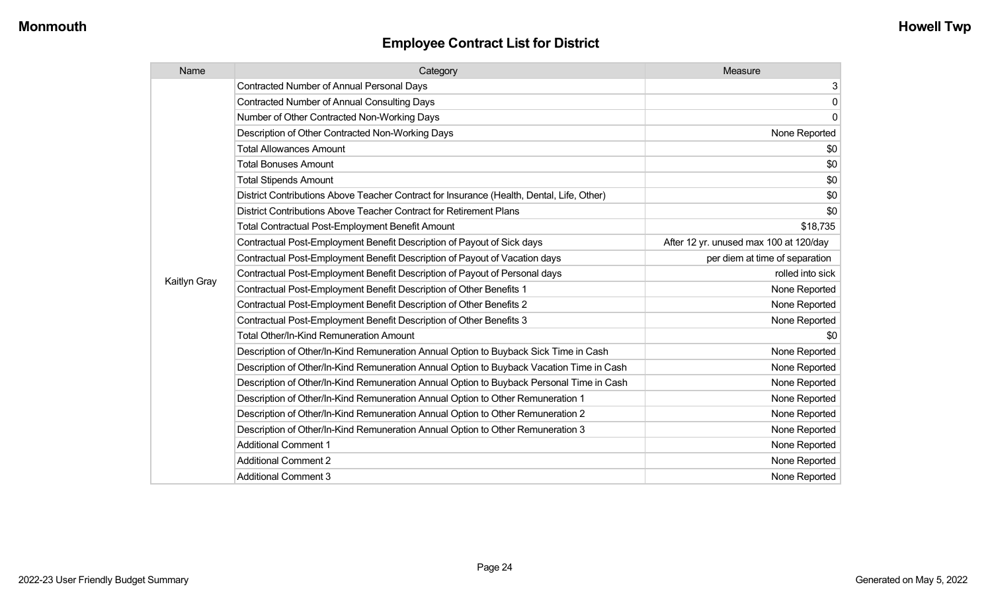| Name         | Category                                                                                  | Measure                                |
|--------------|-------------------------------------------------------------------------------------------|----------------------------------------|
|              | <b>Contracted Number of Annual Personal Days</b>                                          | 3                                      |
|              | <b>Contracted Number of Annual Consulting Days</b>                                        | $\mathbf 0$                            |
|              | Number of Other Contracted Non-Working Days                                               | $\mathbf 0$                            |
|              | Description of Other Contracted Non-Working Days                                          | None Reported                          |
|              | <b>Total Allowances Amount</b>                                                            | \$0                                    |
|              | <b>Total Bonuses Amount</b>                                                               | \$0                                    |
|              | <b>Total Stipends Amount</b>                                                              | \$0                                    |
|              | District Contributions Above Teacher Contract for Insurance (Health, Dental, Life, Other) | \$0                                    |
|              | District Contributions Above Teacher Contract for Retirement Plans                        | \$0                                    |
|              | <b>Total Contractual Post-Employment Benefit Amount</b>                                   | \$18,735                               |
|              | Contractual Post-Employment Benefit Description of Payout of Sick days                    | After 12 yr. unused max 100 at 120/day |
|              | Contractual Post-Employment Benefit Description of Payout of Vacation days                | per diem at time of separation         |
|              | Contractual Post-Employment Benefit Description of Payout of Personal days                | rolled into sick                       |
| Kaitlyn Gray | Contractual Post-Employment Benefit Description of Other Benefits 1                       | None Reported                          |
|              | Contractual Post-Employment Benefit Description of Other Benefits 2                       | None Reported                          |
|              | Contractual Post-Employment Benefit Description of Other Benefits 3                       | None Reported                          |
|              | <b>Total Other/In-Kind Remuneration Amount</b>                                            | \$0                                    |
|              | Description of Other/In-Kind Remuneration Annual Option to Buyback Sick Time in Cash      | None Reported                          |
|              | Description of Other/In-Kind Remuneration Annual Option to Buyback Vacation Time in Cash  | None Reported                          |
|              | Description of Other/In-Kind Remuneration Annual Option to Buyback Personal Time in Cash  | None Reported                          |
|              | Description of Other/In-Kind Remuneration Annual Option to Other Remuneration 1           | None Reported                          |
|              | Description of Other/In-Kind Remuneration Annual Option to Other Remuneration 2           | None Reported                          |
|              | Description of Other/In-Kind Remuneration Annual Option to Other Remuneration 3           | None Reported                          |
|              | <b>Additional Comment 1</b>                                                               | None Reported                          |
|              | <b>Additional Comment 2</b>                                                               | None Reported                          |
|              | <b>Additional Comment 3</b>                                                               | None Reported                          |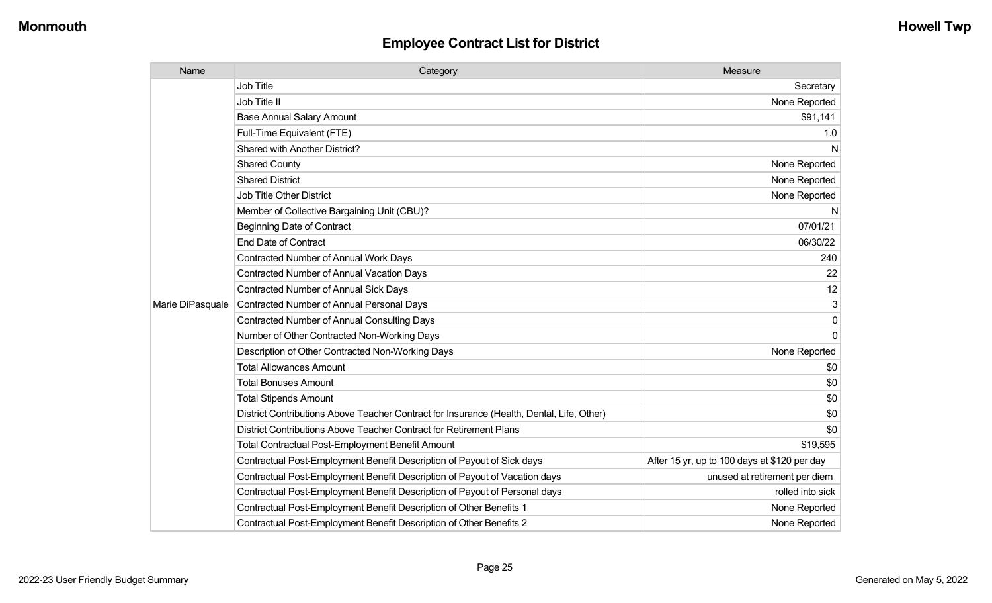| Name             | Category                                                                                  | Measure                                      |
|------------------|-------------------------------------------------------------------------------------------|----------------------------------------------|
|                  | Job Title                                                                                 | Secretary                                    |
|                  | Job Title II                                                                              | None Reported                                |
|                  | <b>Base Annual Salary Amount</b>                                                          | \$91,141                                     |
|                  | Full-Time Equivalent (FTE)                                                                | 1.0                                          |
|                  | Shared with Another District?                                                             | N                                            |
|                  | <b>Shared County</b>                                                                      | None Reported                                |
|                  | <b>Shared District</b>                                                                    | None Reported                                |
|                  | Job Title Other District                                                                  | None Reported                                |
|                  | Member of Collective Bargaining Unit (CBU)?                                               | N                                            |
|                  | <b>Beginning Date of Contract</b>                                                         | 07/01/21                                     |
|                  | <b>End Date of Contract</b>                                                               | 06/30/22                                     |
|                  | Contracted Number of Annual Work Days                                                     | 240                                          |
|                  | Contracted Number of Annual Vacation Days                                                 | 22                                           |
|                  | <b>Contracted Number of Annual Sick Days</b>                                              | 12                                           |
| Marie DiPasquale | <b>Contracted Number of Annual Personal Days</b>                                          | 3                                            |
|                  | <b>Contracted Number of Annual Consulting Days</b>                                        | $\mathbf 0$                                  |
|                  | Number of Other Contracted Non-Working Days                                               | $\Omega$                                     |
|                  | Description of Other Contracted Non-Working Days                                          | None Reported                                |
|                  | <b>Total Allowances Amount</b>                                                            | \$0                                          |
|                  | <b>Total Bonuses Amount</b>                                                               | \$0                                          |
|                  | <b>Total Stipends Amount</b>                                                              | \$0                                          |
|                  | District Contributions Above Teacher Contract for Insurance (Health, Dental, Life, Other) | \$0                                          |
|                  | District Contributions Above Teacher Contract for Retirement Plans                        | \$0                                          |
|                  | <b>Total Contractual Post-Employment Benefit Amount</b>                                   | \$19,595                                     |
|                  | Contractual Post-Employment Benefit Description of Payout of Sick days                    | After 15 yr, up to 100 days at \$120 per day |
|                  | Contractual Post-Employment Benefit Description of Payout of Vacation days                | unused at retirement per diem                |
|                  | Contractual Post-Employment Benefit Description of Payout of Personal days                | rolled into sick                             |
|                  | Contractual Post-Employment Benefit Description of Other Benefits 1                       | None Reported                                |
|                  | Contractual Post-Employment Benefit Description of Other Benefits 2                       | None Reported                                |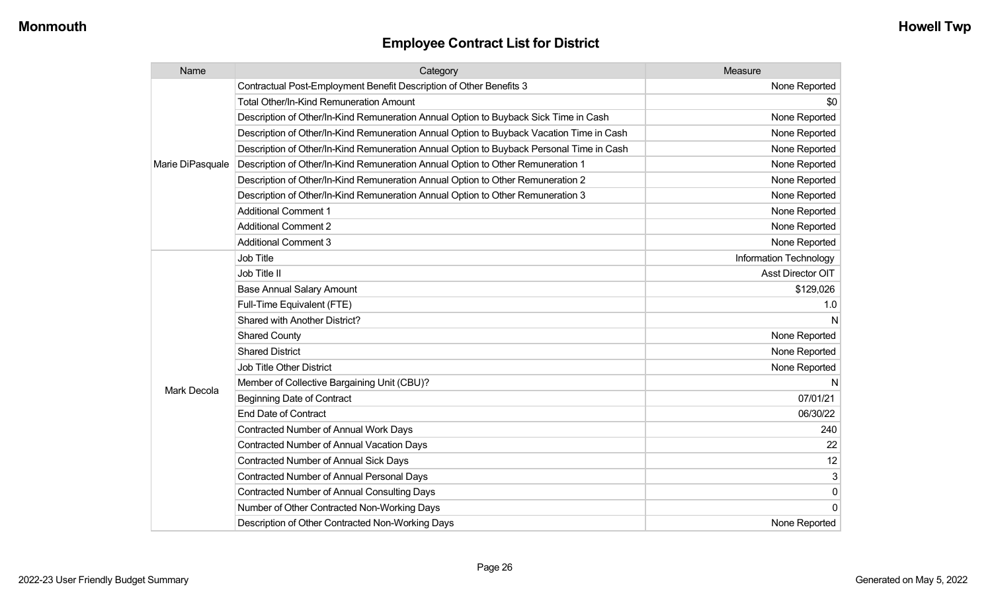| Name             | Category                                                                                 | Measure                   |
|------------------|------------------------------------------------------------------------------------------|---------------------------|
|                  | Contractual Post-Employment Benefit Description of Other Benefits 3                      | None Reported             |
|                  | Total Other/In-Kind Remuneration Amount                                                  | \$0                       |
|                  | Description of Other/In-Kind Remuneration Annual Option to Buyback Sick Time in Cash     | None Reported             |
|                  | Description of Other/In-Kind Remuneration Annual Option to Buyback Vacation Time in Cash | None Reported             |
|                  | Description of Other/In-Kind Remuneration Annual Option to Buyback Personal Time in Cash | None Reported             |
| Marie DiPasquale | Description of Other/In-Kind Remuneration Annual Option to Other Remuneration 1          | None Reported             |
|                  | Description of Other/In-Kind Remuneration Annual Option to Other Remuneration 2          | None Reported             |
|                  | Description of Other/In-Kind Remuneration Annual Option to Other Remuneration 3          | None Reported             |
|                  | <b>Additional Comment 1</b>                                                              | None Reported             |
|                  | <b>Additional Comment 2</b>                                                              | None Reported             |
|                  | <b>Additional Comment 3</b>                                                              | None Reported             |
|                  | <b>Job Title</b>                                                                         | Information Technology    |
|                  | Job Title II                                                                             | Asst Director OIT         |
|                  | <b>Base Annual Salary Amount</b>                                                         | \$129,026                 |
|                  | Full-Time Equivalent (FTE)                                                               | 1.0                       |
|                  | Shared with Another District?                                                            | N                         |
|                  | <b>Shared County</b>                                                                     | None Reported             |
|                  | <b>Shared District</b>                                                                   | None Reported             |
|                  | <b>Job Title Other District</b>                                                          | None Reported             |
| Mark Decola      | Member of Collective Bargaining Unit (CBU)?                                              | N                         |
|                  | <b>Beginning Date of Contract</b>                                                        | 07/01/21                  |
|                  | <b>End Date of Contract</b>                                                              | 06/30/22                  |
|                  | Contracted Number of Annual Work Days                                                    | 240                       |
|                  | <b>Contracted Number of Annual Vacation Days</b>                                         | 22                        |
|                  | Contracted Number of Annual Sick Days                                                    | 12                        |
|                  | Contracted Number of Annual Personal Days                                                | $\ensuremath{\mathsf{3}}$ |
|                  | <b>Contracted Number of Annual Consulting Days</b>                                       | $\pmb{0}$                 |
|                  | Number of Other Contracted Non-Working Days                                              | $\mathbf{0}$              |
|                  | Description of Other Contracted Non-Working Days                                         | None Reported             |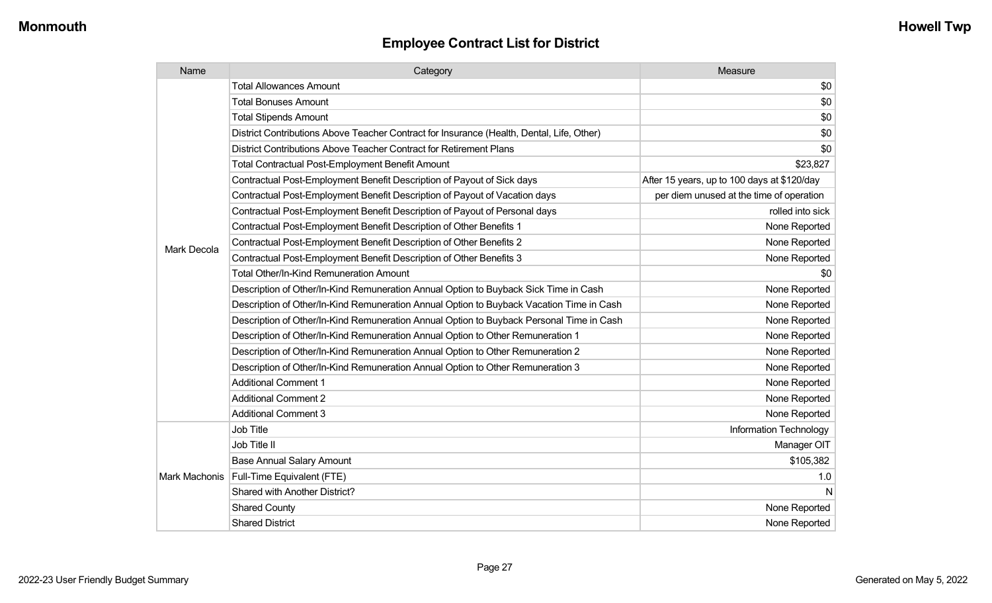| Name          | Category                                                                                  | Measure                                     |
|---------------|-------------------------------------------------------------------------------------------|---------------------------------------------|
|               | <b>Total Allowances Amount</b>                                                            | \$0                                         |
|               | <b>Total Bonuses Amount</b>                                                               | \$0                                         |
|               | <b>Total Stipends Amount</b>                                                              | \$0                                         |
|               | District Contributions Above Teacher Contract for Insurance (Health, Dental, Life, Other) | \$0                                         |
|               | District Contributions Above Teacher Contract for Retirement Plans                        | \$0                                         |
|               | <b>Total Contractual Post-Employment Benefit Amount</b>                                   | \$23,827                                    |
|               | Contractual Post-Employment Benefit Description of Payout of Sick days                    | After 15 years, up to 100 days at \$120/day |
|               | Contractual Post-Employment Benefit Description of Payout of Vacation days                | per diem unused at the time of operation    |
|               | Contractual Post-Employment Benefit Description of Payout of Personal days                | rolled into sick                            |
|               | Contractual Post-Employment Benefit Description of Other Benefits 1                       | None Reported                               |
| Mark Decola   | Contractual Post-Employment Benefit Description of Other Benefits 2                       | None Reported                               |
|               | Contractual Post-Employment Benefit Description of Other Benefits 3                       | None Reported                               |
|               | <b>Total Other/In-Kind Remuneration Amount</b>                                            | \$0                                         |
|               | Description of Other/In-Kind Remuneration Annual Option to Buyback Sick Time in Cash      | None Reported                               |
|               | Description of Other/In-Kind Remuneration Annual Option to Buyback Vacation Time in Cash  | None Reported                               |
|               | Description of Other/In-Kind Remuneration Annual Option to Buyback Personal Time in Cash  | None Reported                               |
|               | Description of Other/In-Kind Remuneration Annual Option to Other Remuneration 1           | None Reported                               |
|               | Description of Other/In-Kind Remuneration Annual Option to Other Remuneration 2           | None Reported                               |
|               | Description of Other/In-Kind Remuneration Annual Option to Other Remuneration 3           | None Reported                               |
|               | <b>Additional Comment 1</b>                                                               | None Reported                               |
|               | <b>Additional Comment 2</b>                                                               | None Reported                               |
|               | <b>Additional Comment 3</b>                                                               | None Reported                               |
|               | Job Title                                                                                 | Information Technology                      |
| Mark Machonis | Job Title II                                                                              | Manager OIT                                 |
|               | <b>Base Annual Salary Amount</b>                                                          | \$105,382                                   |
|               | Full-Time Equivalent (FTE)                                                                | 1.0                                         |
|               | Shared with Another District?                                                             | N                                           |
|               | <b>Shared County</b>                                                                      | None Reported                               |
|               | <b>Shared District</b>                                                                    | None Reported                               |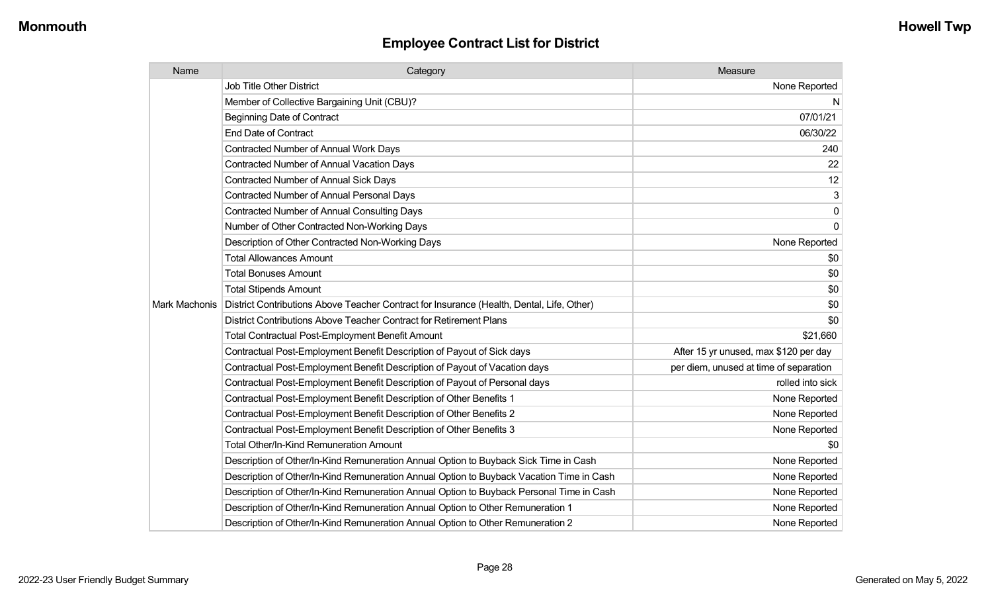| Name          | Category                                                                                  | Measure                                |
|---------------|-------------------------------------------------------------------------------------------|----------------------------------------|
|               | <b>Job Title Other District</b>                                                           | None Reported                          |
|               | Member of Collective Bargaining Unit (CBU)?                                               | N                                      |
|               | <b>Beginning Date of Contract</b>                                                         | 07/01/21                               |
|               | <b>End Date of Contract</b>                                                               | 06/30/22                               |
|               | Contracted Number of Annual Work Days                                                     | 240                                    |
|               | <b>Contracted Number of Annual Vacation Days</b>                                          | 22                                     |
|               | Contracted Number of Annual Sick Days                                                     | 12                                     |
|               | <b>Contracted Number of Annual Personal Days</b>                                          | 3                                      |
|               | Contracted Number of Annual Consulting Days                                               | $\mathsf{O}\xspace$                    |
|               | Number of Other Contracted Non-Working Days                                               | $\mathbf 0$                            |
|               | Description of Other Contracted Non-Working Days                                          | None Reported                          |
|               | <b>Total Allowances Amount</b>                                                            | \$0                                    |
|               | <b>Total Bonuses Amount</b>                                                               | \$0                                    |
|               | <b>Total Stipends Amount</b>                                                              | \$0                                    |
| Mark Machonis | District Contributions Above Teacher Contract for Insurance (Health, Dental, Life, Other) | \$0                                    |
|               | District Contributions Above Teacher Contract for Retirement Plans                        | \$0                                    |
|               | <b>Total Contractual Post-Employment Benefit Amount</b>                                   | \$21,660                               |
|               | Contractual Post-Employment Benefit Description of Payout of Sick days                    | After 15 yr unused, max \$120 per day  |
|               | Contractual Post-Employment Benefit Description of Payout of Vacation days                | per diem, unused at time of separation |
|               | Contractual Post-Employment Benefit Description of Payout of Personal days                | rolled into sick                       |
|               | Contractual Post-Employment Benefit Description of Other Benefits 1                       | None Reported                          |
|               | Contractual Post-Employment Benefit Description of Other Benefits 2                       | None Reported                          |
|               | Contractual Post-Employment Benefit Description of Other Benefits 3                       | None Reported                          |
|               | <b>Total Other/In-Kind Remuneration Amount</b>                                            | \$0                                    |
|               | Description of Other/In-Kind Remuneration Annual Option to Buyback Sick Time in Cash      | None Reported                          |
|               | Description of Other/In-Kind Remuneration Annual Option to Buyback Vacation Time in Cash  | None Reported                          |
|               | Description of Other/In-Kind Remuneration Annual Option to Buyback Personal Time in Cash  | None Reported                          |
|               | Description of Other/In-Kind Remuneration Annual Option to Other Remuneration 1           | None Reported                          |
|               | Description of Other/In-Kind Remuneration Annual Option to Other Remuneration 2           | None Reported                          |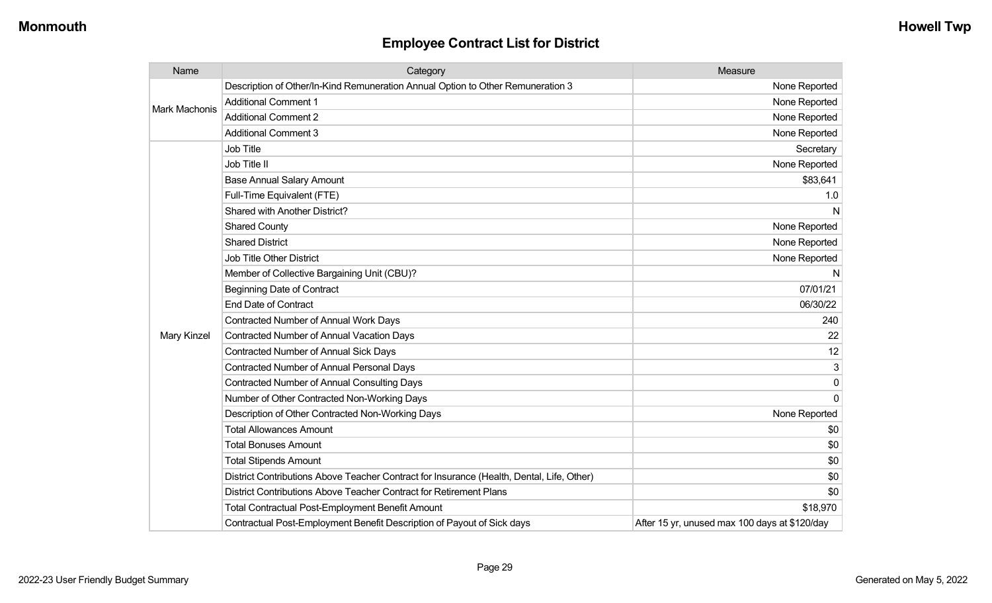| Name          | Category                                                                                  | Measure                                       |
|---------------|-------------------------------------------------------------------------------------------|-----------------------------------------------|
| Mark Machonis | Description of Other/In-Kind Remuneration Annual Option to Other Remuneration 3           | None Reported                                 |
|               | <b>Additional Comment 1</b>                                                               | None Reported                                 |
|               | <b>Additional Comment 2</b>                                                               | None Reported                                 |
|               | <b>Additional Comment 3</b>                                                               | None Reported                                 |
|               | Job Title                                                                                 | Secretary                                     |
|               | Job Title II                                                                              | None Reported                                 |
|               | <b>Base Annual Salary Amount</b>                                                          | \$83,641                                      |
|               | Full-Time Equivalent (FTE)                                                                | 1.0                                           |
|               | Shared with Another District?                                                             | N                                             |
|               | <b>Shared County</b>                                                                      | None Reported                                 |
|               | <b>Shared District</b>                                                                    | None Reported                                 |
|               | Job Title Other District                                                                  | None Reported                                 |
|               | Member of Collective Bargaining Unit (CBU)?                                               | N                                             |
|               | <b>Beginning Date of Contract</b>                                                         | 07/01/21                                      |
|               | <b>End Date of Contract</b>                                                               | 06/30/22                                      |
|               | <b>Contracted Number of Annual Work Days</b>                                              | 240                                           |
| Mary Kinzel   | <b>Contracted Number of Annual Vacation Days</b>                                          | 22                                            |
|               | Contracted Number of Annual Sick Days                                                     | 12                                            |
|               | <b>Contracted Number of Annual Personal Days</b>                                          | 3                                             |
|               | <b>Contracted Number of Annual Consulting Days</b>                                        | 0                                             |
|               | Number of Other Contracted Non-Working Days                                               | $\overline{0}$                                |
|               | Description of Other Contracted Non-Working Days                                          | None Reported                                 |
|               | <b>Total Allowances Amount</b>                                                            | \$0                                           |
|               | <b>Total Bonuses Amount</b>                                                               | \$0                                           |
|               | <b>Total Stipends Amount</b>                                                              | \$0                                           |
|               | District Contributions Above Teacher Contract for Insurance (Health, Dental, Life, Other) | \$0                                           |
|               | District Contributions Above Teacher Contract for Retirement Plans                        | \$0                                           |
|               | <b>Total Contractual Post-Employment Benefit Amount</b>                                   | \$18,970                                      |
|               | Contractual Post-Employment Benefit Description of Payout of Sick days                    | After 15 yr, unused max 100 days at \$120/day |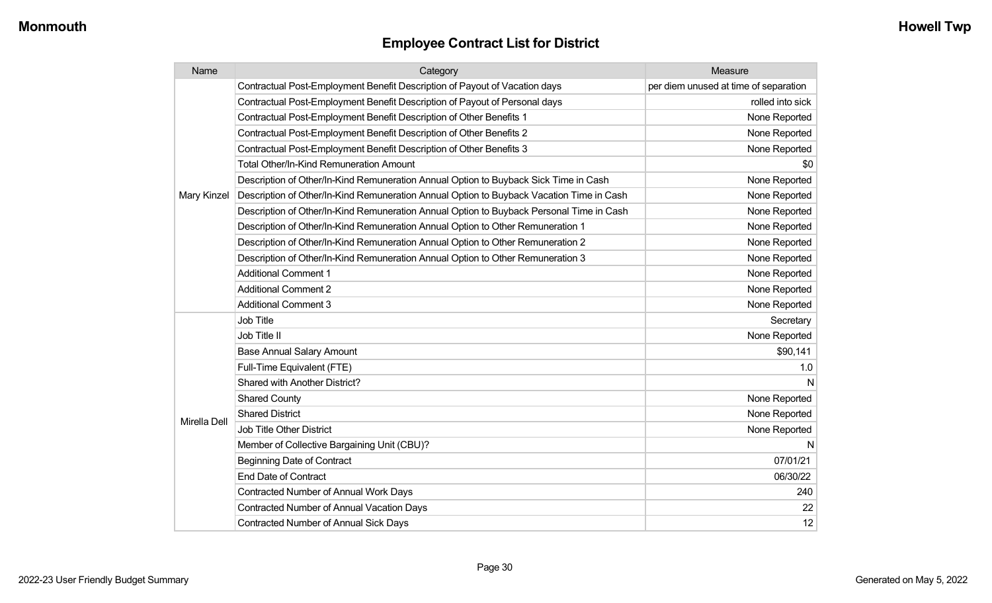| Name         | Category                                                                                 | Measure                               |
|--------------|------------------------------------------------------------------------------------------|---------------------------------------|
|              | Contractual Post-Employment Benefit Description of Payout of Vacation days               | per diem unused at time of separation |
|              | Contractual Post-Employment Benefit Description of Payout of Personal days               | rolled into sick                      |
|              | Contractual Post-Employment Benefit Description of Other Benefits 1                      | None Reported                         |
|              | Contractual Post-Employment Benefit Description of Other Benefits 2                      | None Reported                         |
|              | Contractual Post-Employment Benefit Description of Other Benefits 3                      | None Reported                         |
|              | <b>Total Other/In-Kind Remuneration Amount</b>                                           | \$0                                   |
|              | Description of Other/In-Kind Remuneration Annual Option to Buyback Sick Time in Cash     | None Reported                         |
| Mary Kinzel  | Description of Other/In-Kind Remuneration Annual Option to Buyback Vacation Time in Cash | None Reported                         |
|              | Description of Other/In-Kind Remuneration Annual Option to Buyback Personal Time in Cash | None Reported                         |
|              | Description of Other/In-Kind Remuneration Annual Option to Other Remuneration 1          | None Reported                         |
|              | Description of Other/In-Kind Remuneration Annual Option to Other Remuneration 2          | None Reported                         |
|              | Description of Other/In-Kind Remuneration Annual Option to Other Remuneration 3          | None Reported                         |
|              | <b>Additional Comment 1</b>                                                              | None Reported                         |
|              | <b>Additional Comment 2</b>                                                              | None Reported                         |
|              | <b>Additional Comment 3</b>                                                              | None Reported                         |
|              | <b>Job Title</b>                                                                         | Secretary                             |
|              | Job Title II                                                                             | None Reported                         |
|              | <b>Base Annual Salary Amount</b>                                                         | \$90,141                              |
|              | Full-Time Equivalent (FTE)                                                               | 1.0                                   |
|              | Shared with Another District?                                                            | N                                     |
|              | <b>Shared County</b>                                                                     | None Reported                         |
|              | <b>Shared District</b>                                                                   | None Reported                         |
| Mirella Dell | <b>Job Title Other District</b>                                                          | None Reported                         |
|              | Member of Collective Bargaining Unit (CBU)?                                              | N.                                    |
|              | <b>Beginning Date of Contract</b>                                                        | 07/01/21                              |
|              | <b>End Date of Contract</b>                                                              | 06/30/22                              |
|              | <b>Contracted Number of Annual Work Days</b>                                             | 240                                   |
|              | <b>Contracted Number of Annual Vacation Days</b>                                         | 22                                    |
|              | <b>Contracted Number of Annual Sick Days</b>                                             | 12                                    |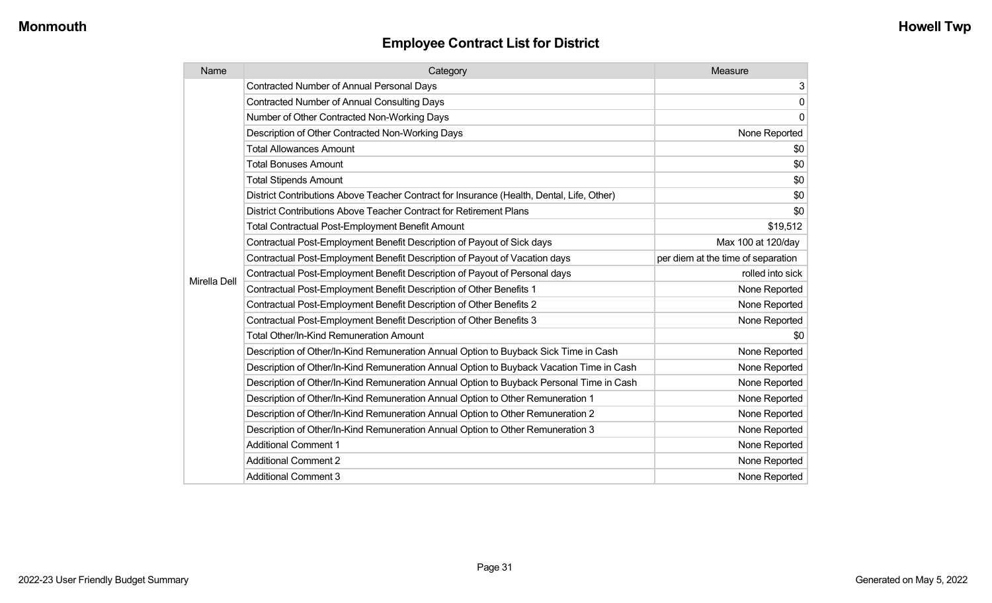| Name         | Category                                                                                  | Measure                            |
|--------------|-------------------------------------------------------------------------------------------|------------------------------------|
|              | <b>Contracted Number of Annual Personal Days</b>                                          | 3                                  |
|              | <b>Contracted Number of Annual Consulting Days</b>                                        | $\mathsf{O}\xspace$                |
|              | Number of Other Contracted Non-Working Days                                               | $\mathbf{0}$                       |
|              | Description of Other Contracted Non-Working Days                                          | None Reported                      |
|              | <b>Total Allowances Amount</b>                                                            | \$0                                |
|              | <b>Total Bonuses Amount</b>                                                               | \$0                                |
|              | <b>Total Stipends Amount</b>                                                              | \$0                                |
|              | District Contributions Above Teacher Contract for Insurance (Health, Dental, Life, Other) | \$0                                |
|              | District Contributions Above Teacher Contract for Retirement Plans                        | \$0                                |
|              | Total Contractual Post-Employment Benefit Amount                                          | \$19,512                           |
|              | Contractual Post-Employment Benefit Description of Payout of Sick days                    | Max 100 at 120/day                 |
|              | Contractual Post-Employment Benefit Description of Payout of Vacation days                | per diem at the time of separation |
| Mirella Dell | Contractual Post-Employment Benefit Description of Payout of Personal days                | rolled into sick                   |
|              | Contractual Post-Employment Benefit Description of Other Benefits 1                       | None Reported                      |
|              | Contractual Post-Employment Benefit Description of Other Benefits 2                       | None Reported                      |
|              | Contractual Post-Employment Benefit Description of Other Benefits 3                       | None Reported                      |
|              | <b>Total Other/In-Kind Remuneration Amount</b>                                            | \$0                                |
|              | Description of Other/In-Kind Remuneration Annual Option to Buyback Sick Time in Cash      | None Reported                      |
|              | Description of Other/In-Kind Remuneration Annual Option to Buyback Vacation Time in Cash  | None Reported                      |
|              | Description of Other/In-Kind Remuneration Annual Option to Buyback Personal Time in Cash  | None Reported                      |
|              | Description of Other/In-Kind Remuneration Annual Option to Other Remuneration 1           | None Reported                      |
|              | Description of Other/In-Kind Remuneration Annual Option to Other Remuneration 2           | None Reported                      |
|              | Description of Other/In-Kind Remuneration Annual Option to Other Remuneration 3           | None Reported                      |
|              | <b>Additional Comment 1</b>                                                               | None Reported                      |
|              | <b>Additional Comment 2</b>                                                               | None Reported                      |
|              | <b>Additional Comment 3</b>                                                               | None Reported                      |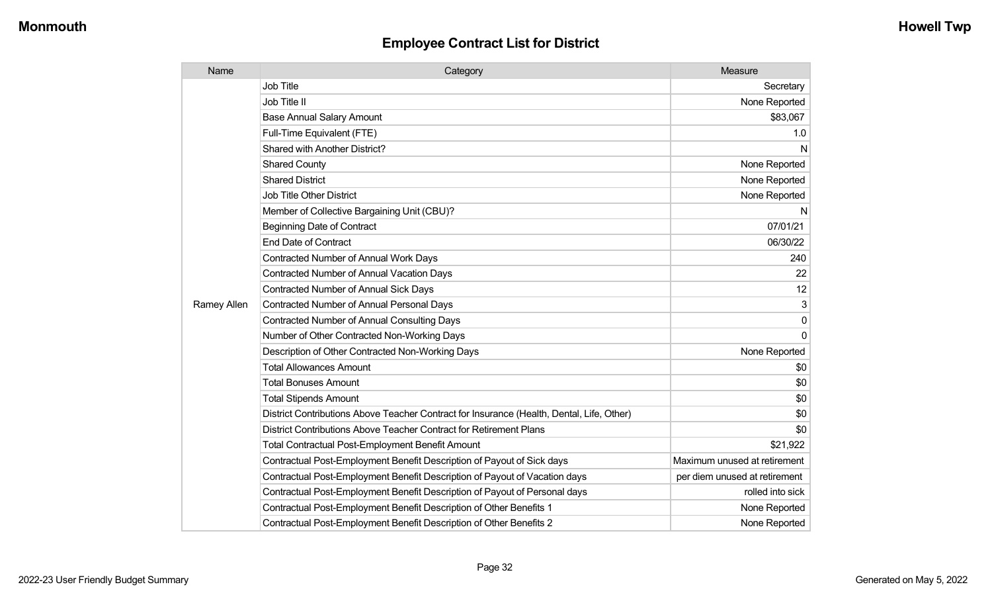| Name        | Category                                                                                  | Measure                       |
|-------------|-------------------------------------------------------------------------------------------|-------------------------------|
|             | Job Title                                                                                 | Secretary                     |
|             | Job Title II                                                                              | None Reported                 |
|             | <b>Base Annual Salary Amount</b>                                                          | \$83,067                      |
|             | Full-Time Equivalent (FTE)                                                                | 1.0                           |
|             | Shared with Another District?                                                             | N                             |
|             | <b>Shared County</b>                                                                      | None Reported                 |
|             | <b>Shared District</b>                                                                    | None Reported                 |
|             | Job Title Other District                                                                  | None Reported                 |
|             | Member of Collective Bargaining Unit (CBU)?                                               | N                             |
|             | <b>Beginning Date of Contract</b>                                                         | 07/01/21                      |
|             | <b>End Date of Contract</b>                                                               | 06/30/22                      |
|             | <b>Contracted Number of Annual Work Days</b>                                              | 240                           |
|             | Contracted Number of Annual Vacation Days                                                 | 22                            |
|             | <b>Contracted Number of Annual Sick Days</b>                                              | 12                            |
| Ramey Allen | <b>Contracted Number of Annual Personal Days</b>                                          | 3                             |
|             | <b>Contracted Number of Annual Consulting Days</b>                                        | 0                             |
|             | Number of Other Contracted Non-Working Days                                               | $\Omega$                      |
|             | Description of Other Contracted Non-Working Days                                          | None Reported                 |
|             | <b>Total Allowances Amount</b>                                                            | \$0                           |
|             | <b>Total Bonuses Amount</b>                                                               | \$0                           |
|             | <b>Total Stipends Amount</b>                                                              | \$0                           |
|             | District Contributions Above Teacher Contract for Insurance (Health, Dental, Life, Other) | \$0                           |
|             | District Contributions Above Teacher Contract for Retirement Plans                        | \$0                           |
|             | Total Contractual Post-Employment Benefit Amount                                          | \$21,922                      |
|             | Contractual Post-Employment Benefit Description of Payout of Sick days                    | Maximum unused at retirement  |
|             | Contractual Post-Employment Benefit Description of Payout of Vacation days                | per diem unused at retirement |
|             | Contractual Post-Employment Benefit Description of Payout of Personal days                | rolled into sick              |
|             | Contractual Post-Employment Benefit Description of Other Benefits 1                       | None Reported                 |
|             | Contractual Post-Employment Benefit Description of Other Benefits 2                       | None Reported                 |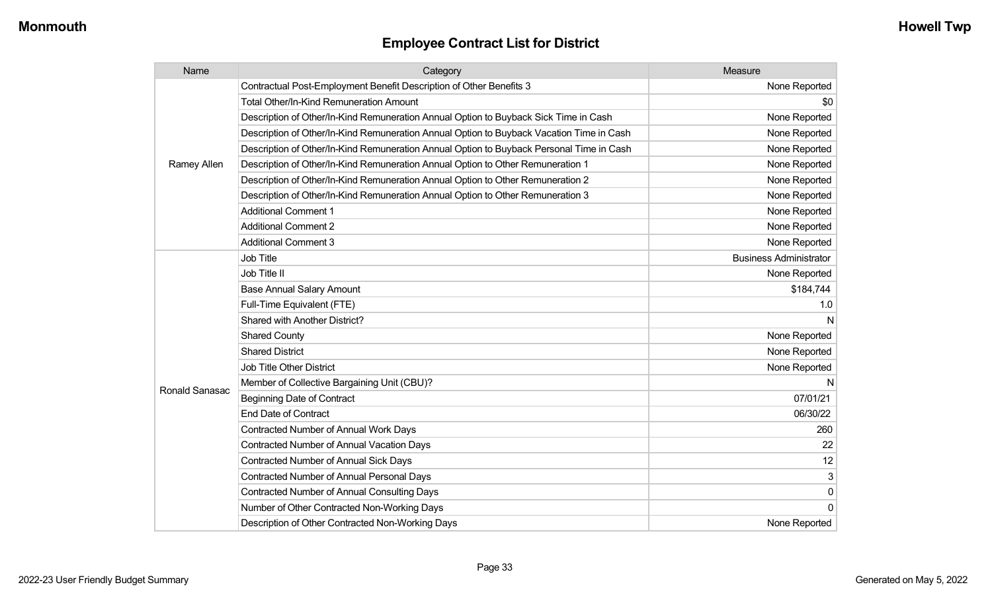| Name           | Category                                                                                 | Measure                       |
|----------------|------------------------------------------------------------------------------------------|-------------------------------|
|                | Contractual Post-Employment Benefit Description of Other Benefits 3                      | None Reported                 |
|                | Total Other/In-Kind Remuneration Amount                                                  | \$0                           |
|                | Description of Other/In-Kind Remuneration Annual Option to Buyback Sick Time in Cash     | None Reported                 |
|                | Description of Other/In-Kind Remuneration Annual Option to Buyback Vacation Time in Cash | None Reported                 |
|                | Description of Other/In-Kind Remuneration Annual Option to Buyback Personal Time in Cash | None Reported                 |
| Ramey Allen    | Description of Other/In-Kind Remuneration Annual Option to Other Remuneration 1          | None Reported                 |
|                | Description of Other/In-Kind Remuneration Annual Option to Other Remuneration 2          | None Reported                 |
|                | Description of Other/In-Kind Remuneration Annual Option to Other Remuneration 3          | None Reported                 |
|                | <b>Additional Comment 1</b>                                                              | None Reported                 |
|                | <b>Additional Comment 2</b>                                                              | None Reported                 |
|                | <b>Additional Comment 3</b>                                                              | None Reported                 |
|                | Job Title                                                                                | <b>Business Administrator</b> |
|                | Job Title II                                                                             | None Reported                 |
|                | <b>Base Annual Salary Amount</b>                                                         | \$184,744                     |
|                | Full-Time Equivalent (FTE)                                                               | 1.0                           |
|                | <b>Shared with Another District?</b>                                                     | N                             |
|                | <b>Shared County</b>                                                                     | None Reported                 |
|                | <b>Shared District</b>                                                                   | None Reported                 |
|                | Job Title Other District                                                                 | None Reported                 |
| Ronald Sanasac | Member of Collective Bargaining Unit (CBU)?                                              | N                             |
|                | <b>Beginning Date of Contract</b>                                                        | 07/01/21                      |
|                | <b>End Date of Contract</b>                                                              | 06/30/22                      |
|                | <b>Contracted Number of Annual Work Days</b>                                             | 260                           |
|                | Contracted Number of Annual Vacation Days                                                | 22                            |
|                | <b>Contracted Number of Annual Sick Days</b>                                             | 12                            |
|                | Contracted Number of Annual Personal Days                                                | $\mathbf{3}$                  |
|                | <b>Contracted Number of Annual Consulting Days</b>                                       | 0                             |
|                | Number of Other Contracted Non-Working Days                                              | $\mathbf{0}$                  |
|                | Description of Other Contracted Non-Working Days                                         | None Reported                 |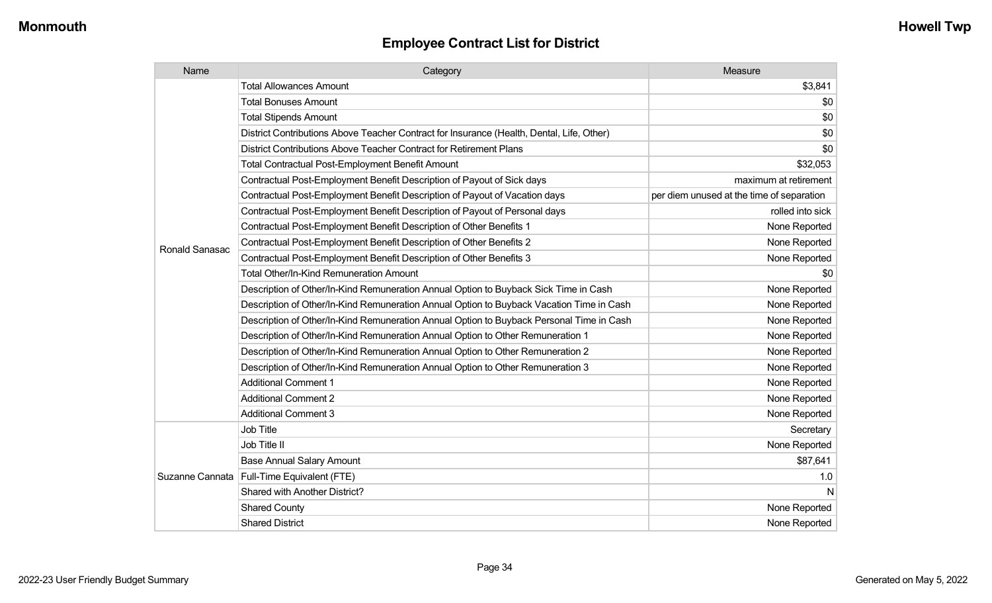| Name            | Category                                                                                  | Measure                                   |
|-----------------|-------------------------------------------------------------------------------------------|-------------------------------------------|
|                 | <b>Total Allowances Amount</b>                                                            | \$3,841                                   |
|                 | <b>Total Bonuses Amount</b>                                                               | \$0                                       |
|                 | <b>Total Stipends Amount</b>                                                              | \$0                                       |
|                 | District Contributions Above Teacher Contract for Insurance (Health, Dental, Life, Other) | \$0                                       |
|                 | District Contributions Above Teacher Contract for Retirement Plans                        | \$0                                       |
|                 | <b>Total Contractual Post-Employment Benefit Amount</b>                                   | \$32,053                                  |
|                 | Contractual Post-Employment Benefit Description of Payout of Sick days                    | maximum at retirement                     |
|                 | Contractual Post-Employment Benefit Description of Payout of Vacation days                | per diem unused at the time of separation |
|                 | Contractual Post-Employment Benefit Description of Payout of Personal days                | rolled into sick                          |
|                 | Contractual Post-Employment Benefit Description of Other Benefits 1                       | None Reported                             |
| Ronald Sanasac  | Contractual Post-Employment Benefit Description of Other Benefits 2                       | None Reported                             |
|                 | Contractual Post-Employment Benefit Description of Other Benefits 3                       | None Reported                             |
|                 | <b>Total Other/In-Kind Remuneration Amount</b>                                            | \$0                                       |
|                 | Description of Other/In-Kind Remuneration Annual Option to Buyback Sick Time in Cash      | None Reported                             |
|                 | Description of Other/In-Kind Remuneration Annual Option to Buyback Vacation Time in Cash  | None Reported                             |
|                 | Description of Other/In-Kind Remuneration Annual Option to Buyback Personal Time in Cash  | None Reported                             |
|                 | Description of Other/In-Kind Remuneration Annual Option to Other Remuneration 1           | None Reported                             |
|                 | Description of Other/In-Kind Remuneration Annual Option to Other Remuneration 2           | None Reported                             |
|                 | Description of Other/In-Kind Remuneration Annual Option to Other Remuneration 3           | None Reported                             |
|                 | <b>Additional Comment 1</b>                                                               | None Reported                             |
|                 | <b>Additional Comment 2</b>                                                               | None Reported                             |
|                 | <b>Additional Comment 3</b>                                                               | None Reported                             |
|                 | Job Title                                                                                 | Secretary                                 |
| Suzanne Cannata | Job Title II                                                                              | None Reported                             |
|                 | <b>Base Annual Salary Amount</b>                                                          | \$87,641                                  |
|                 | Full-Time Equivalent (FTE)                                                                | 1.0                                       |
|                 | Shared with Another District?                                                             | N                                         |
|                 | <b>Shared County</b>                                                                      | None Reported                             |
|                 | <b>Shared District</b>                                                                    | None Reported                             |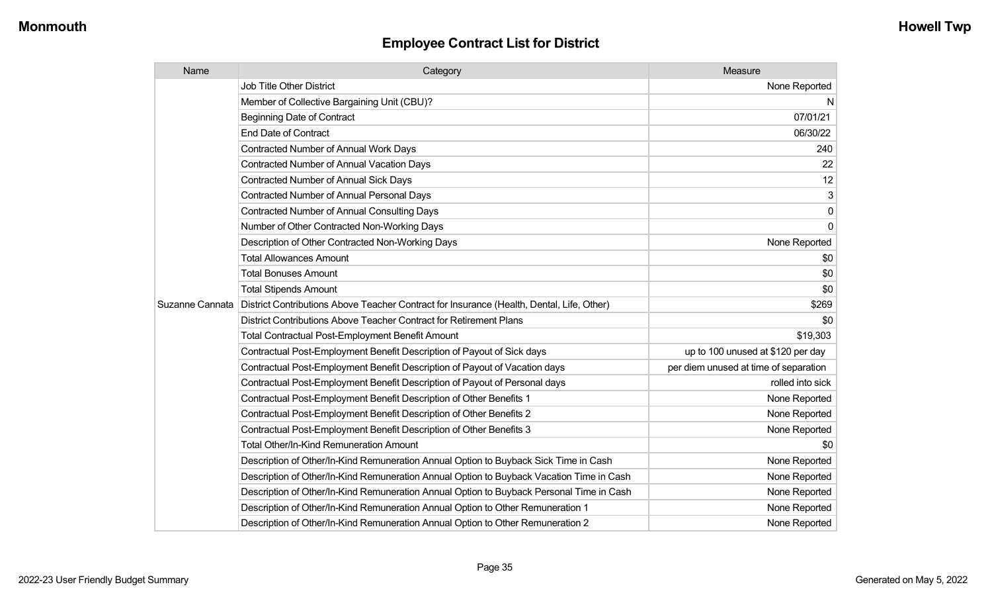| Name            | Category                                                                                  | Measure                               |
|-----------------|-------------------------------------------------------------------------------------------|---------------------------------------|
|                 | <b>Job Title Other District</b>                                                           | None Reported                         |
|                 | Member of Collective Bargaining Unit (CBU)?                                               | $\mathsf{N}$                          |
|                 | <b>Beginning Date of Contract</b>                                                         | 07/01/21                              |
|                 | <b>End Date of Contract</b>                                                               | 06/30/22                              |
|                 | <b>Contracted Number of Annual Work Days</b>                                              | 240                                   |
|                 | <b>Contracted Number of Annual Vacation Days</b>                                          | 22                                    |
|                 | <b>Contracted Number of Annual Sick Days</b>                                              | 12                                    |
|                 | <b>Contracted Number of Annual Personal Days</b>                                          | 3                                     |
|                 | <b>Contracted Number of Annual Consulting Days</b>                                        | $\boldsymbol{0}$                      |
|                 | Number of Other Contracted Non-Working Days                                               | $\overline{0}$                        |
|                 | Description of Other Contracted Non-Working Days                                          | None Reported                         |
|                 | <b>Total Allowances Amount</b>                                                            | \$0                                   |
|                 | <b>Total Bonuses Amount</b>                                                               | \$0                                   |
|                 | <b>Total Stipends Amount</b>                                                              | \$0                                   |
| Suzanne Cannata | District Contributions Above Teacher Contract for Insurance (Health, Dental, Life, Other) | \$269                                 |
|                 | District Contributions Above Teacher Contract for Retirement Plans                        | \$0                                   |
|                 | <b>Total Contractual Post-Employment Benefit Amount</b>                                   | \$19,303                              |
|                 | Contractual Post-Employment Benefit Description of Payout of Sick days                    | up to 100 unused at \$120 per day     |
|                 | Contractual Post-Employment Benefit Description of Payout of Vacation days                | per diem unused at time of separation |
|                 | Contractual Post-Employment Benefit Description of Payout of Personal days                | rolled into sick                      |
|                 | Contractual Post-Employment Benefit Description of Other Benefits 1                       | None Reported                         |
|                 | Contractual Post-Employment Benefit Description of Other Benefits 2                       | None Reported                         |
|                 | Contractual Post-Employment Benefit Description of Other Benefits 3                       | None Reported                         |
|                 | Total Other/In-Kind Remuneration Amount                                                   | \$0                                   |
|                 | Description of Other/In-Kind Remuneration Annual Option to Buyback Sick Time in Cash      | None Reported                         |
|                 | Description of Other/In-Kind Remuneration Annual Option to Buyback Vacation Time in Cash  | None Reported                         |
|                 | Description of Other/In-Kind Remuneration Annual Option to Buyback Personal Time in Cash  | None Reported                         |
|                 | Description of Other/In-Kind Remuneration Annual Option to Other Remuneration 1           | None Reported                         |
|                 | Description of Other/In-Kind Remuneration Annual Option to Other Remuneration 2           | None Reported                         |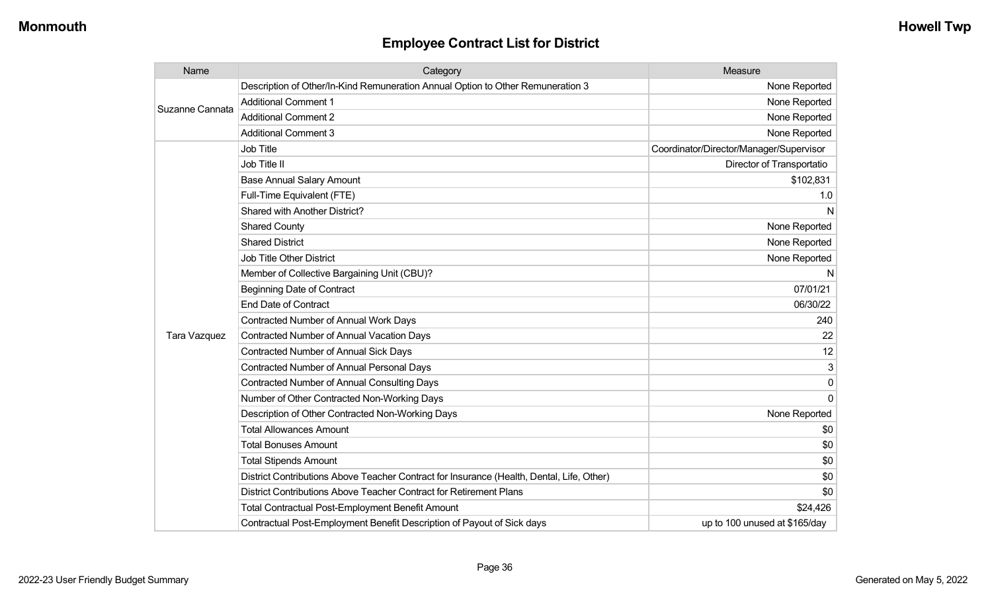| Name            | Category                                                                                  | Measure                                 |
|-----------------|-------------------------------------------------------------------------------------------|-----------------------------------------|
| Suzanne Cannata | Description of Other/In-Kind Remuneration Annual Option to Other Remuneration 3           | None Reported                           |
|                 | <b>Additional Comment 1</b>                                                               | None Reported                           |
|                 | <b>Additional Comment 2</b>                                                               | None Reported                           |
|                 | <b>Additional Comment 3</b>                                                               | None Reported                           |
|                 | Job Title                                                                                 | Coordinator/Director/Manager/Supervisor |
|                 | Job Title II                                                                              | Director of Transportatio               |
|                 | <b>Base Annual Salary Amount</b>                                                          | \$102,831                               |
|                 | Full-Time Equivalent (FTE)                                                                | 1.0                                     |
|                 | Shared with Another District?                                                             | N                                       |
|                 | <b>Shared County</b>                                                                      | None Reported                           |
|                 | <b>Shared District</b>                                                                    | None Reported                           |
|                 | <b>Job Title Other District</b>                                                           | None Reported                           |
|                 | Member of Collective Bargaining Unit (CBU)?                                               | N                                       |
|                 | <b>Beginning Date of Contract</b>                                                         | 07/01/21                                |
|                 | <b>End Date of Contract</b>                                                               | 06/30/22                                |
|                 | <b>Contracted Number of Annual Work Days</b>                                              | 240                                     |
| Tara Vazquez    | <b>Contracted Number of Annual Vacation Days</b>                                          | 22                                      |
|                 | <b>Contracted Number of Annual Sick Days</b>                                              | 12                                      |
|                 | <b>Contracted Number of Annual Personal Days</b>                                          | 3                                       |
|                 | <b>Contracted Number of Annual Consulting Days</b>                                        | 0                                       |
|                 | Number of Other Contracted Non-Working Days                                               | $\Omega$                                |
|                 | Description of Other Contracted Non-Working Days                                          | None Reported                           |
|                 | <b>Total Allowances Amount</b>                                                            | \$0                                     |
|                 | <b>Total Bonuses Amount</b>                                                               | \$0                                     |
|                 | <b>Total Stipends Amount</b>                                                              | \$0                                     |
|                 | District Contributions Above Teacher Contract for Insurance (Health, Dental, Life, Other) | \$0                                     |
|                 | District Contributions Above Teacher Contract for Retirement Plans                        | \$0                                     |
|                 | <b>Total Contractual Post-Employment Benefit Amount</b>                                   | \$24,426                                |
|                 | Contractual Post-Employment Benefit Description of Payout of Sick days                    | up to 100 unused at \$165/day           |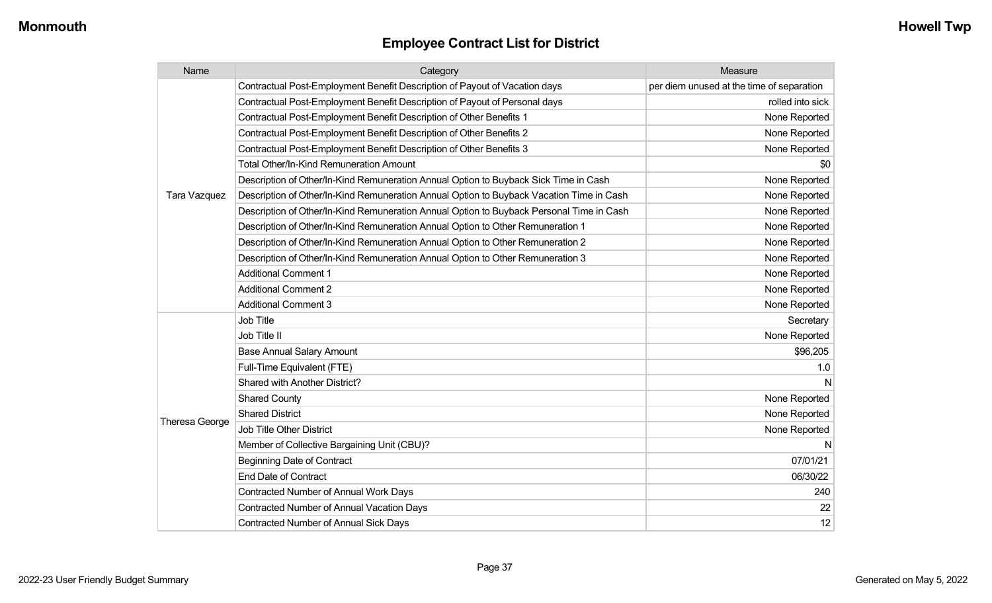| Name                  | Category                                                                                 | Measure                                   |
|-----------------------|------------------------------------------------------------------------------------------|-------------------------------------------|
|                       | Contractual Post-Employment Benefit Description of Payout of Vacation days               | per diem unused at the time of separation |
|                       | Contractual Post-Employment Benefit Description of Payout of Personal days               | rolled into sick                          |
|                       | Contractual Post-Employment Benefit Description of Other Benefits 1                      | None Reported                             |
|                       | Contractual Post-Employment Benefit Description of Other Benefits 2                      | None Reported                             |
|                       | Contractual Post-Employment Benefit Description of Other Benefits 3                      | None Reported                             |
|                       | <b>Total Other/In-Kind Remuneration Amount</b>                                           | \$0                                       |
|                       | Description of Other/In-Kind Remuneration Annual Option to Buyback Sick Time in Cash     | None Reported                             |
| Tara Vazquez          | Description of Other/In-Kind Remuneration Annual Option to Buyback Vacation Time in Cash | None Reported                             |
|                       | Description of Other/In-Kind Remuneration Annual Option to Buyback Personal Time in Cash | None Reported                             |
|                       | Description of Other/In-Kind Remuneration Annual Option to Other Remuneration 1          | None Reported                             |
|                       | Description of Other/In-Kind Remuneration Annual Option to Other Remuneration 2          | None Reported                             |
|                       | Description of Other/In-Kind Remuneration Annual Option to Other Remuneration 3          | None Reported                             |
|                       | <b>Additional Comment 1</b>                                                              | None Reported                             |
|                       | <b>Additional Comment 2</b>                                                              | None Reported                             |
|                       | <b>Additional Comment 3</b>                                                              | None Reported                             |
|                       | <b>Job Title</b>                                                                         | Secretary                                 |
|                       | Job Title II                                                                             | None Reported                             |
|                       | <b>Base Annual Salary Amount</b>                                                         | \$96,205                                  |
|                       | Full-Time Equivalent (FTE)                                                               | 1.0                                       |
|                       | <b>Shared with Another District?</b>                                                     | N                                         |
|                       | <b>Shared County</b>                                                                     | None Reported                             |
| <b>Theresa George</b> | <b>Shared District</b>                                                                   | None Reported                             |
|                       | <b>Job Title Other District</b>                                                          | None Reported                             |
|                       | Member of Collective Bargaining Unit (CBU)?                                              | N                                         |
|                       | <b>Beginning Date of Contract</b>                                                        | 07/01/21                                  |
|                       | <b>End Date of Contract</b>                                                              | 06/30/22                                  |
|                       | <b>Contracted Number of Annual Work Days</b>                                             | 240                                       |
|                       | <b>Contracted Number of Annual Vacation Days</b>                                         | 22                                        |
|                       | <b>Contracted Number of Annual Sick Days</b>                                             | 12                                        |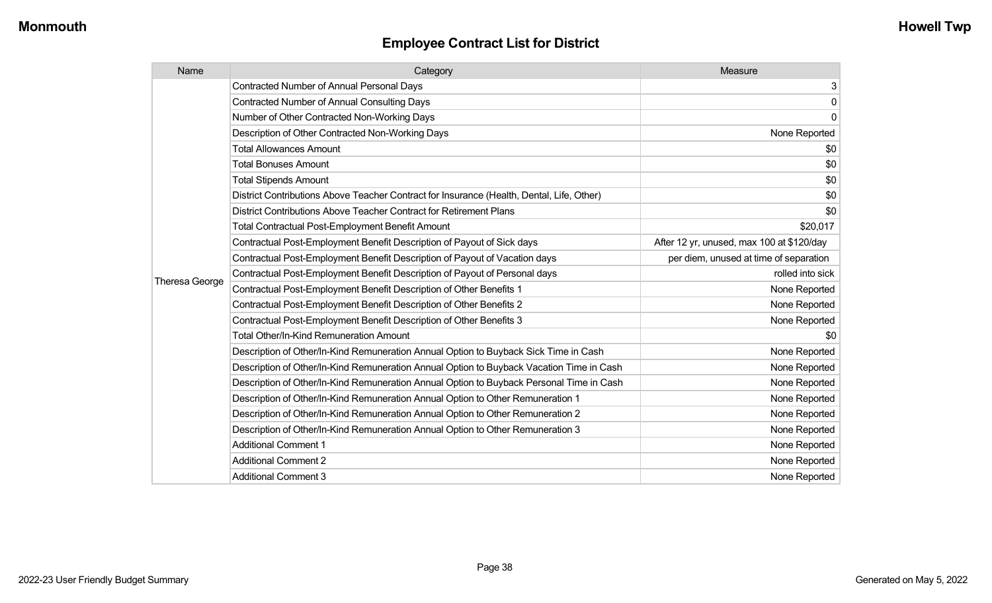| Name                  | Category                                                                                  | Measure                                   |
|-----------------------|-------------------------------------------------------------------------------------------|-------------------------------------------|
|                       | Contracted Number of Annual Personal Days                                                 | 3                                         |
|                       | <b>Contracted Number of Annual Consulting Days</b>                                        | $\mathsf{O}\xspace$                       |
|                       | Number of Other Contracted Non-Working Days                                               | $\mathbf 0$                               |
|                       | Description of Other Contracted Non-Working Days                                          | None Reported                             |
|                       | <b>Total Allowances Amount</b>                                                            | \$0                                       |
|                       | <b>Total Bonuses Amount</b>                                                               | \$0                                       |
|                       | <b>Total Stipends Amount</b>                                                              | \$0                                       |
|                       | District Contributions Above Teacher Contract for Insurance (Health, Dental, Life, Other) | \$0                                       |
|                       | District Contributions Above Teacher Contract for Retirement Plans                        | \$0                                       |
|                       | <b>Total Contractual Post-Employment Benefit Amount</b>                                   | \$20,017                                  |
|                       | Contractual Post-Employment Benefit Description of Payout of Sick days                    | After 12 yr, unused, max 100 at \$120/day |
|                       | Contractual Post-Employment Benefit Description of Payout of Vacation days                | per diem, unused at time of separation    |
|                       | Contractual Post-Employment Benefit Description of Payout of Personal days                | rolled into sick                          |
| <b>Theresa George</b> | Contractual Post-Employment Benefit Description of Other Benefits 1                       | None Reported                             |
|                       | Contractual Post-Employment Benefit Description of Other Benefits 2                       | None Reported                             |
|                       | Contractual Post-Employment Benefit Description of Other Benefits 3                       | None Reported                             |
|                       | Total Other/In-Kind Remuneration Amount                                                   | \$0                                       |
|                       | Description of Other/In-Kind Remuneration Annual Option to Buyback Sick Time in Cash      | None Reported                             |
|                       | Description of Other/In-Kind Remuneration Annual Option to Buyback Vacation Time in Cash  | None Reported                             |
|                       | Description of Other/In-Kind Remuneration Annual Option to Buyback Personal Time in Cash  | None Reported                             |
|                       | Description of Other/In-Kind Remuneration Annual Option to Other Remuneration 1           | None Reported                             |
|                       | Description of Other/In-Kind Remuneration Annual Option to Other Remuneration 2           | None Reported                             |
|                       | Description of Other/In-Kind Remuneration Annual Option to Other Remuneration 3           | None Reported                             |
|                       | <b>Additional Comment 1</b>                                                               | None Reported                             |
|                       | <b>Additional Comment 2</b>                                                               | None Reported                             |
|                       | <b>Additional Comment 3</b>                                                               | None Reported                             |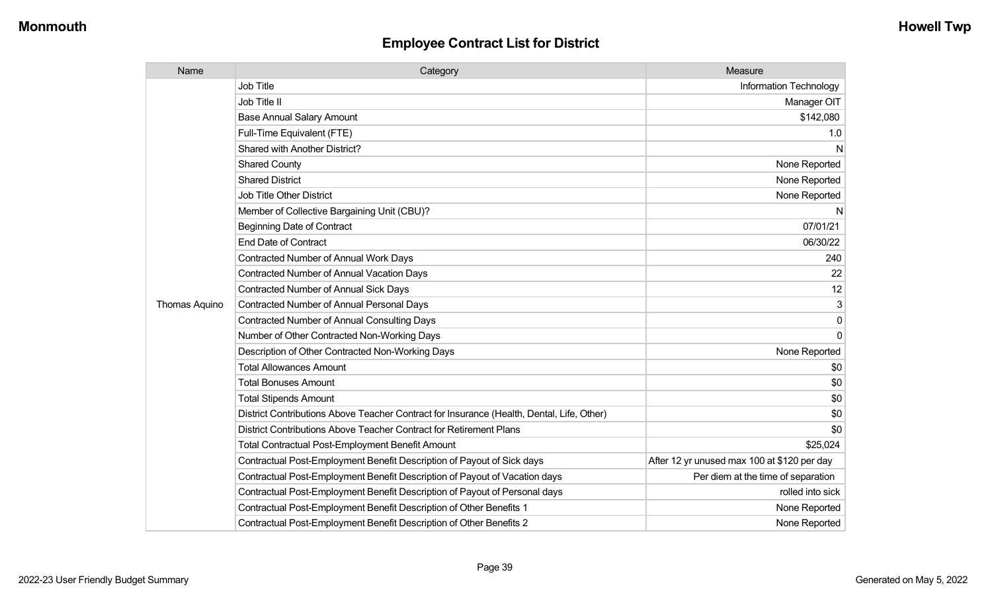| Name          | Category                                                                                  | Measure                                     |
|---------------|-------------------------------------------------------------------------------------------|---------------------------------------------|
|               | Job Title                                                                                 | Information Technology                      |
|               | Job Title II                                                                              | Manager OIT                                 |
|               | <b>Base Annual Salary Amount</b>                                                          | \$142,080                                   |
|               | Full-Time Equivalent (FTE)                                                                | 1.0                                         |
|               | Shared with Another District?                                                             | N                                           |
|               | <b>Shared County</b>                                                                      | None Reported                               |
|               | <b>Shared District</b>                                                                    | None Reported                               |
|               | <b>Job Title Other District</b>                                                           | None Reported                               |
|               | Member of Collective Bargaining Unit (CBU)?                                               | N                                           |
|               | <b>Beginning Date of Contract</b>                                                         | 07/01/21                                    |
|               | End Date of Contract                                                                      | 06/30/22                                    |
|               | Contracted Number of Annual Work Days                                                     | 240                                         |
|               | <b>Contracted Number of Annual Vacation Days</b>                                          | 22                                          |
|               | <b>Contracted Number of Annual Sick Days</b>                                              | 12                                          |
| Thomas Aquino | <b>Contracted Number of Annual Personal Days</b>                                          | 3                                           |
|               | <b>Contracted Number of Annual Consulting Days</b>                                        | 0                                           |
|               | Number of Other Contracted Non-Working Days                                               | $\mathbf 0$                                 |
|               | Description of Other Contracted Non-Working Days                                          | None Reported                               |
|               | <b>Total Allowances Amount</b>                                                            | \$0                                         |
|               | <b>Total Bonuses Amount</b>                                                               | \$0                                         |
|               | <b>Total Stipends Amount</b>                                                              | \$0                                         |
|               | District Contributions Above Teacher Contract for Insurance (Health, Dental, Life, Other) | \$0                                         |
|               | District Contributions Above Teacher Contract for Retirement Plans                        | \$0                                         |
|               | <b>Total Contractual Post-Employment Benefit Amount</b>                                   | \$25,024                                    |
|               | Contractual Post-Employment Benefit Description of Payout of Sick days                    | After 12 yr unused max 100 at \$120 per day |
|               | Contractual Post-Employment Benefit Description of Payout of Vacation days                | Per diem at the time of separation          |
|               | Contractual Post-Employment Benefit Description of Payout of Personal days                | rolled into sick                            |
|               | Contractual Post-Employment Benefit Description of Other Benefits 1                       | None Reported                               |
|               | Contractual Post-Employment Benefit Description of Other Benefits 2                       | None Reported                               |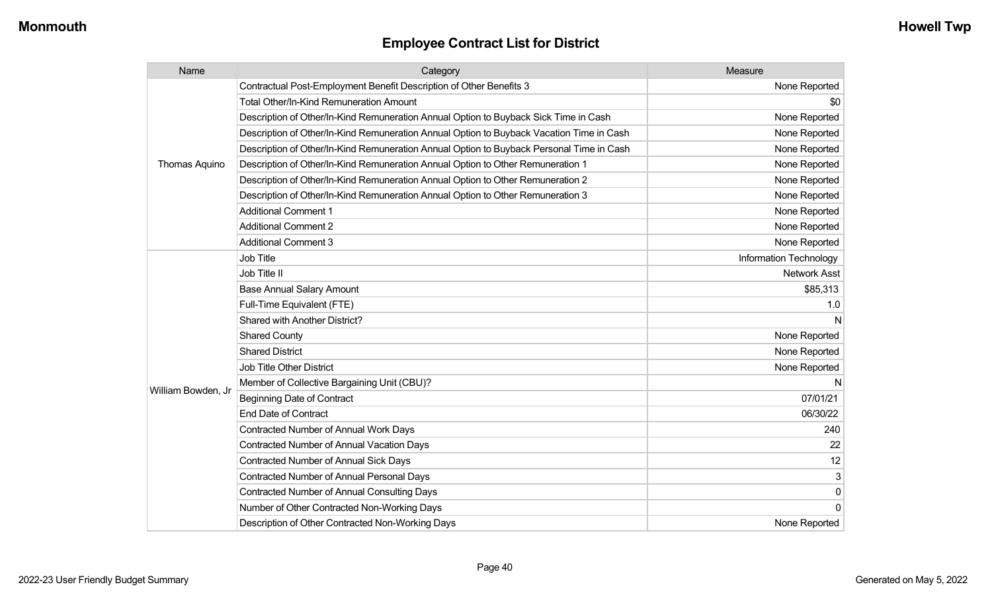| Name               | Category                                                                                 | Measure                |
|--------------------|------------------------------------------------------------------------------------------|------------------------|
|                    | Contractual Post-Employment Benefit Description of Other Benefits 3                      | None Reported          |
|                    | <b>Total Other/In-Kind Remuneration Amount</b>                                           | \$0                    |
|                    | Description of Other/In-Kind Remuneration Annual Option to Buyback Sick Time in Cash     | None Reported          |
|                    | Description of Other/In-Kind Remuneration Annual Option to Buyback Vacation Time in Cash | None Reported          |
|                    | Description of Other/In-Kind Remuneration Annual Option to Buyback Personal Time in Cash | None Reported          |
| Thomas Aquino      | Description of Other/In-Kind Remuneration Annual Option to Other Remuneration 1          | None Reported          |
|                    | Description of Other/In-Kind Remuneration Annual Option to Other Remuneration 2          | None Reported          |
|                    | Description of Other/In-Kind Remuneration Annual Option to Other Remuneration 3          | None Reported          |
|                    | <b>Additional Comment 1</b>                                                              | None Reported          |
|                    | <b>Additional Comment 2</b>                                                              | None Reported          |
|                    | <b>Additional Comment 3</b>                                                              | None Reported          |
|                    | Job Title                                                                                | Information Technology |
|                    | Job Title II                                                                             | Network Asst           |
|                    | <b>Base Annual Salary Amount</b>                                                         | \$85,313               |
|                    | Full-Time Equivalent (FTE)                                                               | 1.0                    |
|                    | Shared with Another District?                                                            | N                      |
|                    | <b>Shared County</b>                                                                     | None Reported          |
|                    | <b>Shared District</b>                                                                   | None Reported          |
|                    | Job Title Other District                                                                 | None Reported          |
|                    | Member of Collective Bargaining Unit (CBU)?                                              | N                      |
| William Bowden, Jr | <b>Beginning Date of Contract</b>                                                        | 07/01/21               |
|                    | <b>End Date of Contract</b>                                                              | 06/30/22               |
|                    | Contracted Number of Annual Work Days                                                    | 240                    |
|                    | <b>Contracted Number of Annual Vacation Days</b>                                         | 22                     |
|                    | <b>Contracted Number of Annual Sick Days</b>                                             | 12                     |
|                    | <b>Contracted Number of Annual Personal Days</b>                                         | $\mathbf{3}$           |
|                    | <b>Contracted Number of Annual Consulting Days</b>                                       | $\mathbf 0$            |
|                    | Number of Other Contracted Non-Working Days                                              | $\overline{0}$         |
|                    | Description of Other Contracted Non-Working Days                                         | None Reported          |